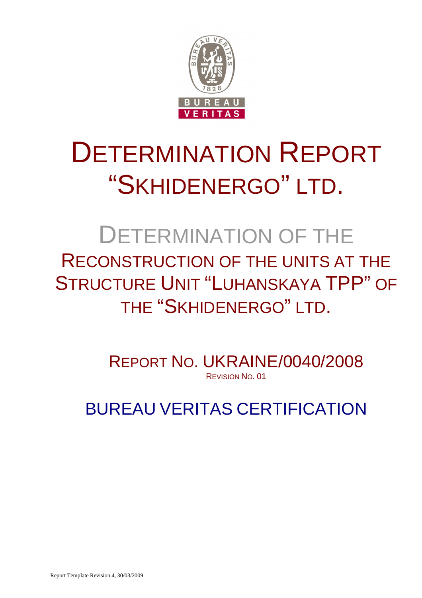

# DETERMINATION REPORT "SKHIDENERGO" LTD.

# DETERMINATION OF THE RECONSTRUCTION OF THE UNITS AT THE STRUCTURE UNIT "LUHANSKAYA TPP" OF THE "SKHIDENERGO" LTD.

REPORT NO. UKRAINE/0040/2008 REVISION NO. 01

BUREAU VERITAS CERTIFICATION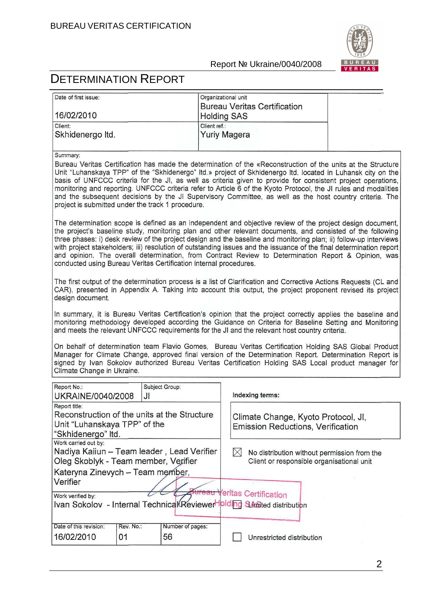

# DETERMINATION REPORT

| Date of first issue: | Organizational unit                 |
|----------------------|-------------------------------------|
|                      | <b>Bureau Veritas Certification</b> |
| 16/02/2010           | <b>Holding SAS</b>                  |
| Client:              | Client ref.:                        |
| Skhidenergo Itd.     | Yuriy Magera                        |

#### Summary:

Bureau Veritas Certification has made the determination of the «Reconstruction of the units at the Structure Unit "Luhanskaya TPP" of the "Skhidenergo" Itd.» project of Skhidenergo Itd. located in Luhansk city on the basis of UNFCCC criteria for the JI, as well as criteria given to provide for consistent project operations, monitoring and reporting. UNFCCC criteria refer to Article 6 of the Kyoto Protocol, the JI rules and modalities and the subsequent decisions by the JI Supervisory Committee, as well as the host country criteria. The project is submitted under the track 1 procedure.

The determination scope is defined as an independent and objective review of the project design document. the project's baseline study, monitoring plan and other relevant documents, and consisted of the following three phases: i) desk review of the project design and the baseline and monitoring plan: ii) follow-up interviews with project stakeholders: iii) resolution of outstanding issues and the issuance of the final determination report and opinion. The overall determination, from Contract Review to Determination Report & Opinion, was conducted using Bureau Veritas Certification internal procedures.

The first output of the determination process is a list of Clarification and Corrective Actions Requests (CL and CAR), presented in Appendix A. Taking into account this output, the project proponent revised its project design document.

In summary, it is Bureau Veritas Certification's opinion that the project correctly applies the baseline and monitoring methodology developed according the Guidance on Criteria for Baseline Setting and Monitoring and meets the relevant UNFCCC requirements for the JI and the relevant host country criteria.

On behalf of determination team Flavio Gomes, Bureau Veritas Certification Holding SAS Global Product Manager for Climate Change, approved final version of the Determination Report. Determination Report is signed by Ivan Sokolov authorized Bureau Veritas Certification Holding SAS Local product manager for Climate Change in Ukraine.

| Report No.:<br>UKRAINE/0040/2008                                                                                                               | JI              | Subject Group:         | Indexing terms:                                                                          |
|------------------------------------------------------------------------------------------------------------------------------------------------|-----------------|------------------------|------------------------------------------------------------------------------------------|
| Report title:<br>Reconstruction of the units at the Structure<br>Unit "Luhanskaya TPP" of the<br>"Skhidenergo" Itd.                            |                 |                        | Climate Change, Kyoto Protocol, Jl.<br><b>Emission Reductions, Verification</b>          |
| Work carried out by:<br>Nadiya Kaiiun - Team leader, Lead Verifier<br>Oleg Skoblyk - Team member, Verifier<br>Kateryna Zinevych - Team member, |                 |                        | No distribution without permission from the<br>Client or responsible organisational unit |
| Verifier<br>Work verified by:<br>Ivan Sokolov - Internal Technical Reviewer Ipiding SAmited distribution                                       |                 |                        | <del>3ureau V</del> eritas Certification                                                 |
| Date of this revision:<br>16/02/2010                                                                                                           | Rev. No.:<br>01 | Number of pages:<br>56 | Unrestricted distribution                                                                |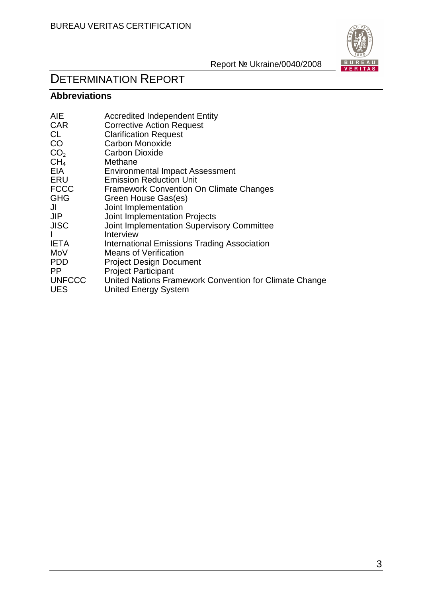

# DETERMINATION REPORT

# **Abbreviations**

| <b>AIE</b>      | <b>Accredited Independent Entity</b>                   |
|-----------------|--------------------------------------------------------|
| <b>CAR</b>      | <b>Corrective Action Request</b>                       |
| CL              | <b>Clarification Request</b>                           |
| CO              | <b>Carbon Monoxide</b>                                 |
| CO <sub>2</sub> | <b>Carbon Dioxide</b>                                  |
| CH <sub>4</sub> | Methane                                                |
| <b>EIA</b>      | <b>Environmental Impact Assessment</b>                 |
| ERU             | <b>Emission Reduction Unit</b>                         |
| <b>FCCC</b>     | <b>Framework Convention On Climate Changes</b>         |
| <b>GHG</b>      | Green House Gas(es)                                    |
| JI              | Joint Implementation                                   |
| <b>JIP</b>      | Joint Implementation Projects                          |
| <b>JISC</b>     | Joint Implementation Supervisory Committee             |
|                 | Interview                                              |
| <b>IETA</b>     | International Emissions Trading Association            |
| MoV             | <b>Means of Verification</b>                           |
| <b>PDD</b>      | <b>Project Design Document</b>                         |
| PP.             | <b>Project Participant</b>                             |
| <b>UNFCCC</b>   | United Nations Framework Convention for Climate Change |
| <b>UES</b>      | <b>United Energy System</b>                            |
|                 |                                                        |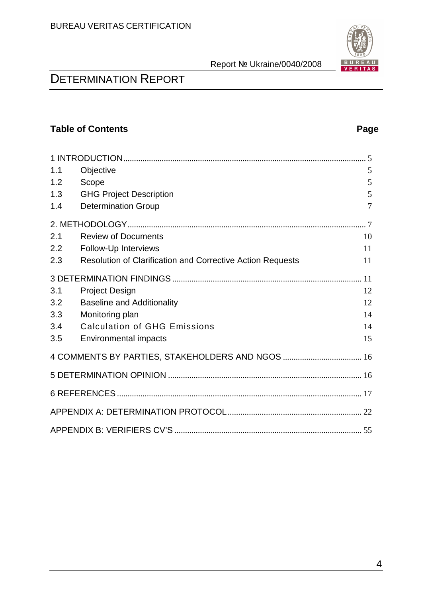

# DETERMINATION REPORT

# **Table of Contents** Page **Page 2014**

| 1.1 | Objective                                                  | 5  |  |  |  |
|-----|------------------------------------------------------------|----|--|--|--|
| 1.2 | Scope                                                      | 5  |  |  |  |
| 1.3 | <b>GHG Project Description</b>                             | 5  |  |  |  |
| 1.4 | <b>Determination Group</b>                                 | 7  |  |  |  |
|     |                                                            |    |  |  |  |
| 2.1 | <b>Review of Documents</b>                                 | 10 |  |  |  |
| 2.2 | Follow-Up Interviews                                       | 11 |  |  |  |
| 2.3 | Resolution of Clarification and Corrective Action Requests | 11 |  |  |  |
|     |                                                            |    |  |  |  |
| 3.1 | <b>Project Design</b>                                      | 12 |  |  |  |
| 3.2 | <b>Baseline and Additionality</b>                          | 12 |  |  |  |
| 3.3 | Monitoring plan                                            | 14 |  |  |  |
| 3.4 | <b>Calculation of GHG Emissions</b>                        | 14 |  |  |  |
| 3.5 | <b>Environmental impacts</b>                               | 15 |  |  |  |
|     | 4 COMMENTS BY PARTIES, STAKEHOLDERS AND NGOS  16           |    |  |  |  |
|     |                                                            |    |  |  |  |
|     |                                                            |    |  |  |  |
|     |                                                            |    |  |  |  |
|     |                                                            |    |  |  |  |
|     |                                                            |    |  |  |  |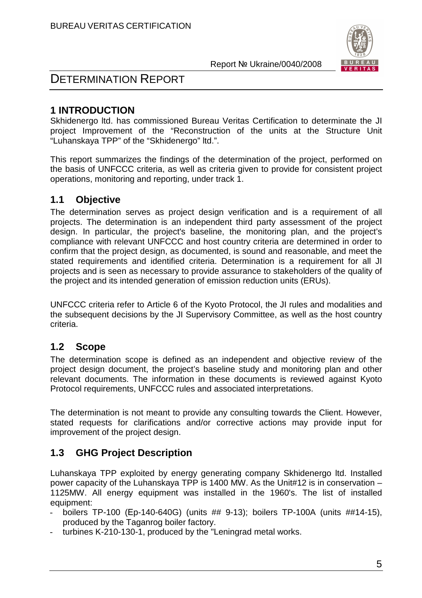

# DETERMINATION REPORT

# **1 INTRODUCTION**

Skhidenergo ltd. has commissioned Bureau Veritas Certification to determinate the JI project Improvement of the "Reconstruction of the units at the Structure Unit "Luhanskaya TPP" of the "Skhidenergo" ltd.".

This report summarizes the findings of the determination of the project, performed on the basis of UNFCCC criteria, as well as criteria given to provide for consistent project operations, monitoring and reporting, under track 1.

# **1.1 Objective**

The determination serves as project design verification and is a requirement of all projects. The determination is an independent third party assessment of the project design. In particular, the project's baseline, the monitoring plan, and the project's compliance with relevant UNFCCC and host country criteria are determined in order to confirm that the project design, as documented, is sound and reasonable, and meet the stated requirements and identified criteria. Determination is a requirement for all JI projects and is seen as necessary to provide assurance to stakeholders of the quality of the project and its intended generation of emission reduction units (ERUs).

UNFCCC criteria refer to Article 6 of the Kyoto Protocol, the JI rules and modalities and the subsequent decisions by the JI Supervisory Committee, as well as the host country criteria.

# **1.2 Scope**

The determination scope is defined as an independent and objective review of the project design document, the project's baseline study and monitoring plan and other relevant documents. The information in these documents is reviewed against Kyoto Protocol requirements, UNFCCC rules and associated interpretations.

The determination is not meant to provide any consulting towards the Client. However, stated requests for clarifications and/or corrective actions may provide input for improvement of the project design.

# **1.3 GHG Project Description**

Luhanskaya TPP exploited by energy generating company Skhidenergo ltd. Installed power capacity of the Luhanskaya TPP is 1400 MW. As the Unit#12 is in conservation – 1125MW. All energy equipment was installed in the 1960's. The list of installed equipment:

- boilers TP-100 (Ep-140-640G) (units ## 9-13); boilers TP-100A (units ##14-15), produced by the Taganrog boiler factory.
- turbines K-210-130-1, produced by the "Leningrad metal works.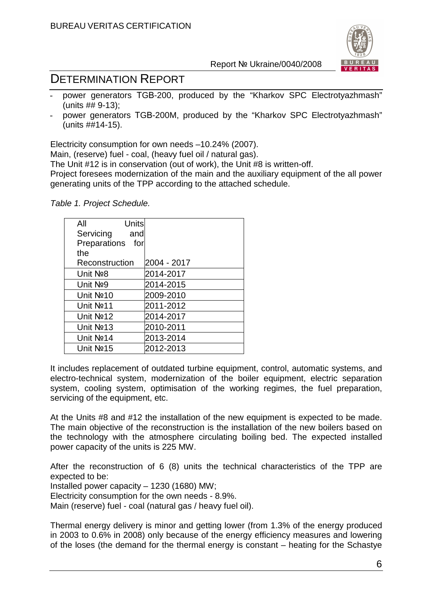

# DETERMINATION REPORT

- power generators TGB-200, produced by the "Kharkov SPC Electrotyazhmash" (units ## 9-13);
- power generators TGB-200M, produced by the "Kharkov SPC Electrotyazhmash" (units ##14-15).

Electricity consumption for own needs –10.24% (2007).

Main, (reserve) fuel - coal, (heavy fuel oil / natural gas).

The Unit #12 is in conservation (out of work), the Unit #8 is written-off.

Project foresees modernization of the main and the auxiliary equipment of the all power generating units of the TPP according to the attached schedule.

Table 1. Project Schedule.

| Units<br>All          |             |
|-----------------------|-------------|
| Servicing<br>and      |             |
| Preparations<br>for   |             |
| the                   |             |
| Reconstruction        | 2004 - 2017 |
| Unit No <sub>2</sub>  | 2014-2017   |
| Unit No <sub>9</sub>  | 2014-2015   |
| Unit Nº10             | 2009-2010   |
| Unit No <sub>11</sub> | 2011-2012   |
| Unit Nº12             | 2014-2017   |
| Unit No <sub>13</sub> | 2010-2011   |
| Unit No <sub>14</sub> | 2013-2014   |
| Unit No <sub>15</sub> | 2012-2013   |

It includes replacement of outdated turbine equipment, control, automatic systems, and electro-technical system, modernization of the boiler equipment, electric separation system, cooling system, optimisation of the working regimes, the fuel preparation, servicing of the equipment, etc.

At the Units #8 and #12 the installation of the new equipment is expected to be made. The main objective of the reconstruction is the installation of the new boilers based on the technology with the atmosphere circulating boiling bed. The expected installed power capacity of the units is 225 MW.

After the reconstruction of 6 (8) units the technical characteristics of the TPP are expected to be:

Installed power capacity – 1230 (1680) MW;

Electricity consumption for the own needs - 8.9%.

Main (reserve) fuel - coal (natural gas / heavy fuel oil).

Thermal energy delivery is minor and getting lower (from 1.3% of the energy produced in 2003 to 0.6% in 2008) only because of the energy efficiency measures and lowering of the loses (the demand for the thermal energy is constant – heating for the Schastye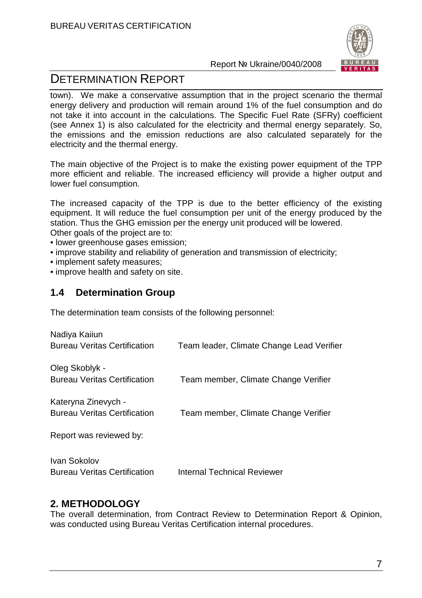

# DETERMINATION REPORT

town). We make a conservative assumption that in the project scenario the thermal energy delivery and production will remain around 1% of the fuel consumption and do not take it into account in the calculations. The Specific Fuel Rate (SFRy) coefficient (see Annex 1) is also calculated for the electricity and thermal energy separately. So, the emissions and the emission reductions are also calculated separately for the electricity and the thermal energy.

The main objective of the Project is to make the existing power equipment of the TPP more efficient and reliable. The increased efficiency will provide a higher output and lower fuel consumption.

The increased capacity of the TPP is due to the better efficiency of the existing equipment. It will reduce the fuel consumption per unit of the energy produced by the station. Thus the GHG emission per the energy unit produced will be lowered.

Other goals of the project are to:

- lower greenhouse gases emission;
- improve stability and reliability of generation and transmission of electricity;
- implement safety measures;
- improve health and safety on site.

## **1.4 Determination Group**

The determination team consists of the following personnel:

| Nadiya Kaiiun<br><b>Bureau Veritas Certification</b>       | Team leader, Climate Change Lead Verifier |
|------------------------------------------------------------|-------------------------------------------|
| Oleg Skoblyk -<br><b>Bureau Veritas Certification</b>      | Team member, Climate Change Verifier      |
| Kateryna Zinevych -<br><b>Bureau Veritas Certification</b> | Team member, Climate Change Verifier      |
| Report was reviewed by:                                    |                                           |
| Ivan Sokolov<br><b>Bureau Veritas Certification</b>        | <b>Internal Technical Reviewer</b>        |

## **2. METHODOLOGY**

The overall determination, from Contract Review to Determination Report & Opinion, was conducted using Bureau Veritas Certification internal procedures.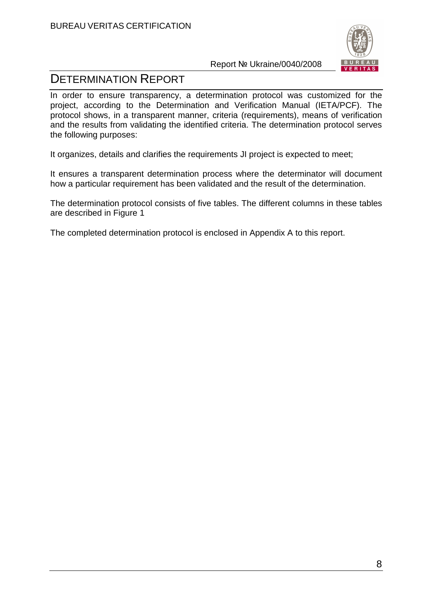

# DETERMINATION REPORT

In order to ensure transparency, a determination protocol was customized for the project, according to the Determination and Verification Manual (IETA/PCF). The protocol shows, in a transparent manner, criteria (requirements), means of verification and the results from validating the identified criteria. The determination protocol serves the following purposes:

It organizes, details and clarifies the requirements JI project is expected to meet;

It ensures a transparent determination process where the determinator will document how a particular requirement has been validated and the result of the determination.

The determination protocol consists of five tables. The different columns in these tables are described in Figure 1

The completed determination protocol is enclosed in Appendix A to this report.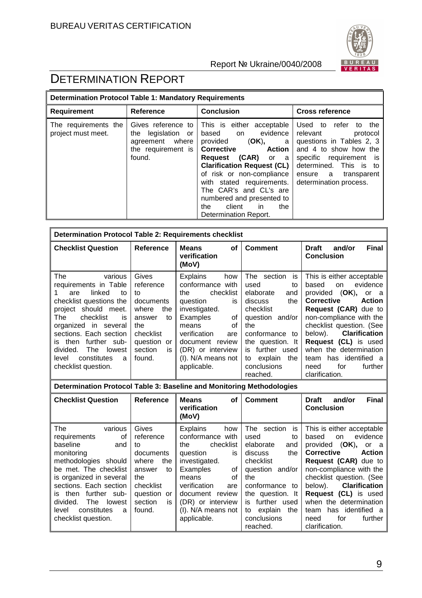

| <b>Determination Protocol Table 1: Mandatory Requirements</b> |                                                                                                   |                                                                                                                                                                                                                                                                                                                                                   |                                                                                                                                                                                                                |  |  |  |
|---------------------------------------------------------------|---------------------------------------------------------------------------------------------------|---------------------------------------------------------------------------------------------------------------------------------------------------------------------------------------------------------------------------------------------------------------------------------------------------------------------------------------------------|----------------------------------------------------------------------------------------------------------------------------------------------------------------------------------------------------------------|--|--|--|
| Requirement                                                   | Reference                                                                                         | <b>Conclusion</b>                                                                                                                                                                                                                                                                                                                                 | <b>Cross reference</b>                                                                                                                                                                                         |  |  |  |
| The requirements the<br>project must meet.                    | Gives reference to<br>legislation<br>the<br>or<br>agreement where<br>the requirement is<br>found. | This is either acceptable<br>based on evidence<br>provided (OK),<br>a l<br>Action<br><b>Corrective</b><br><b>Request (CAR)</b> or a<br><b>Clarification Request (CL)</b><br>of risk or non-compliance<br>with stated requirements.<br>The CAR's and CL's are<br>numbered and presented to<br>client<br>the<br>the<br>in.<br>Determination Report. | Used to<br>refer<br>to the<br>relevant<br>protocol<br>questions in Tables 2, 3<br>and 4 to show how the<br>specific requirement is<br>determined. This is to<br>ensure a transparent<br>determination process. |  |  |  |

| <b>Determination Protocol Table 2: Requirements checklist</b>                                                                                                                                                                                                                                                        |                                                                                                                                        |                                                                                                                                                                                                                                         |                                                                                                                                                                                                                             |                                                                                                                                                                                                                                                                                                                                                                      |  |
|----------------------------------------------------------------------------------------------------------------------------------------------------------------------------------------------------------------------------------------------------------------------------------------------------------------------|----------------------------------------------------------------------------------------------------------------------------------------|-----------------------------------------------------------------------------------------------------------------------------------------------------------------------------------------------------------------------------------------|-----------------------------------------------------------------------------------------------------------------------------------------------------------------------------------------------------------------------------|----------------------------------------------------------------------------------------------------------------------------------------------------------------------------------------------------------------------------------------------------------------------------------------------------------------------------------------------------------------------|--|
| <b>Checklist Question</b>                                                                                                                                                                                                                                                                                            | Reference                                                                                                                              | <b>Means</b><br><b>of</b><br>verification<br>(MoV)                                                                                                                                                                                      | <b>Comment</b>                                                                                                                                                                                                              | <b>Final</b><br>and/or<br><b>Draft</b><br><b>Conclusion</b>                                                                                                                                                                                                                                                                                                          |  |
| The<br>various<br>requirements in Table<br>linked<br>are<br>to<br>checklist questions the<br>project should meet.<br>checklist<br>The<br>is<br>organized in several<br>sections. Each section<br>further sub-<br>then<br>İS.<br>divided.<br><b>The</b><br>lowest<br>constitutes<br>level<br>a<br>checklist question. | Gives<br>reference<br>tο<br>documents<br>where<br>the<br>to<br>answer<br>the<br>checklist<br>question<br>or<br>section<br>is<br>found. | <b>Explains</b><br>how<br>conformance with<br>checklist<br>the.<br>question<br>is<br>investigated.<br>Examples<br>0f<br>means<br>οf<br>verification<br>are<br>document review<br>(DR) or interview<br>(I). N/A means not<br>applicable. | The section<br>is<br>used<br>to<br>elaborate<br>and<br>the<br>discuss<br>checklist<br>question and/or<br>the<br>conformance to<br>the question. It<br>further used<br>is<br>explain<br>the<br>to<br>conclusions<br>reached. | This is either acceptable<br>evidence<br>based<br>on<br>provided (OK), or a<br><b>Corrective</b><br><b>Action</b><br><b>Request (CAR)</b> due to<br>non-compliance with the<br>checklist question. (See<br><b>Clarification</b><br>below).<br>Request (CL) is used<br>when the determination<br>has identified a<br>team<br>for<br>further<br>need<br>clarification. |  |
| Determination Protocol Table 3: Baseline and Monitoring Methodologies                                                                                                                                                                                                                                                |                                                                                                                                        |                                                                                                                                                                                                                                         |                                                                                                                                                                                                                             |                                                                                                                                                                                                                                                                                                                                                                      |  |
| <b>Checklist Question</b>                                                                                                                                                                                                                                                                                            | Reference                                                                                                                              | <b>Means</b><br>οf<br>verification<br>$(M_0M)$                                                                                                                                                                                          | <b>Comment</b>                                                                                                                                                                                                              | <b>Final</b><br>and/or<br><b>Draft</b><br><b>Conclusion</b>                                                                                                                                                                                                                                                                                                          |  |

|                           |               | (MoV)                  |                      |                                    |
|---------------------------|---------------|------------------------|----------------------|------------------------------------|
| The<br>various            | Gives         | <b>Explains</b><br>how | The section<br>İS    | This is either acceptable          |
| requirements<br>οf        | reference     | conformance with       | used<br>to           | evidence<br>based<br>on            |
| baseline<br>and           | to            | checklist<br>the       | elaborate<br>and     | provided (OK),<br>or a             |
| monitoring                | documents     | question<br>is         | the<br>discuss       | <b>Action</b><br><b>Corrective</b> |
| methodologies should      | where<br>the  | investigated.          | checklist            | <b>Request (CAR)</b> due to        |
| be met. The checklist     | answer<br>to  | Examples<br>οf         | and/or<br>question   | non-compliance with the            |
| is organized in several   | the           | 0f<br>means            | the                  | checklist question. (See           |
| sections. Each section    | checklist     | verification<br>are    | conformance<br>to    | below). <b>Clarification</b>       |
| is then further sub-      | question or   | document review        | the question. It     | <b>Request (CL)</b> is used        |
| divided.<br>The<br>lowest | section<br>İS | (DR) or interview      | is further used      | when the determination             |
| constitutes<br>level<br>a | found.        | (I). N/A means not     | explain<br>the<br>to | team has identified a              |
| checklist question.       |               | applicable.            | conclusions          | further<br>for<br>need             |
|                           |               |                        | reached.             | clarification.                     |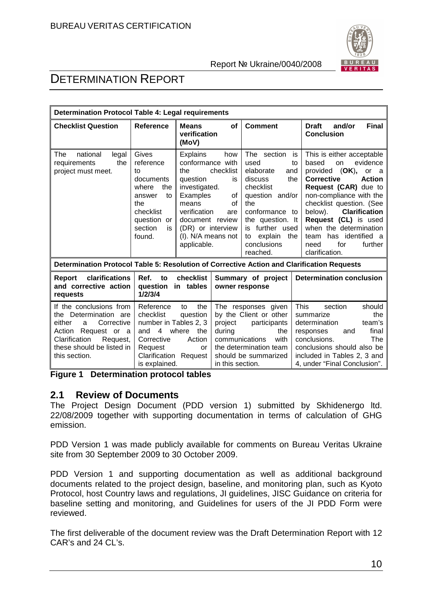

# DETERMINATION REPORT

| <b>Determination Protocol Table 4: Legal requirements</b>                                                                                                                          |                                                                                                                                                    |                                                                                                                                                                                           |                                                         |                                                                                                                                                                                                              |                                                                                                                                                                                                                                                                                                                                                                              |
|------------------------------------------------------------------------------------------------------------------------------------------------------------------------------------|----------------------------------------------------------------------------------------------------------------------------------------------------|-------------------------------------------------------------------------------------------------------------------------------------------------------------------------------------------|---------------------------------------------------------|--------------------------------------------------------------------------------------------------------------------------------------------------------------------------------------------------------------|------------------------------------------------------------------------------------------------------------------------------------------------------------------------------------------------------------------------------------------------------------------------------------------------------------------------------------------------------------------------------|
| <b>Checklist Question</b>                                                                                                                                                          | <b>Reference</b>                                                                                                                                   | <b>Means</b><br>verification<br>(MoV)                                                                                                                                                     | <b>of</b>                                               | <b>Comment</b>                                                                                                                                                                                               | <b>Final</b><br><b>Draft</b><br>and/or<br><b>Conclusion</b>                                                                                                                                                                                                                                                                                                                  |
| national<br>The<br>legal<br>the<br>requirements<br>project must meet.                                                                                                              | Gives<br>reference<br>to<br>documents<br>where<br>the<br>to<br>answer<br>the<br>checklist<br>question or<br>section<br>is<br>found.                | <b>Explains</b><br>conformance with<br>the<br>question<br>investigated.<br>Examples<br>means<br>verification<br>document review<br>(DR) or interview<br>(I). N/A means not<br>applicable. | how<br>checklist<br>is<br>οf<br>οf<br>are               | The section<br>used<br>elaborate<br>and<br>discuss<br>the<br>checklist<br>question and/or<br>the<br>conformance to<br>the question. It<br>is further used<br>explain<br>the<br>to<br>conclusions<br>reached. | This is either acceptable<br>is<br>evidence<br>based<br>on<br>to<br>provided (OK),<br>or a<br><b>Corrective</b><br><b>Action</b><br>Request (CAR) due to<br>non-compliance with the<br>checklist question. (See<br><b>Clarification</b><br>below).<br>Request (CL) is used<br>when the determination<br>has identified a<br>team<br>for<br>further<br>need<br>clarification. |
| Determination Protocol Table 5: Resolution of Corrective Action and Clarification Requests                                                                                         |                                                                                                                                                    |                                                                                                                                                                                           |                                                         |                                                                                                                                                                                                              |                                                                                                                                                                                                                                                                                                                                                                              |
| clarifications<br>Report<br>and corrective action<br>requests                                                                                                                      | Ref.<br>to<br>question<br>1/2/3/4                                                                                                                  | checklist<br>in tables                                                                                                                                                                    |                                                         | Summary of project<br>owner response                                                                                                                                                                         | <b>Determination conclusion</b>                                                                                                                                                                                                                                                                                                                                              |
| If the conclusions from<br>the Determination are<br>Corrective<br>either<br>a<br>Request or a<br>Action<br>Request,<br>Clarification<br>these should be listed in<br>this section. | Reference<br>checklist<br>number in Tables 2, 3<br>$\overline{4}$<br>and<br>Corrective<br>Request<br><b>Clarification Request</b><br>is explained. | the<br>to<br>question<br>where<br>the<br>Action<br><b>or</b>                                                                                                                              | project<br>during<br>communications<br>in this section. | The responses given<br>by the Client or other<br>participants<br>the<br>with<br>the determination team<br>should be summarized                                                                               | <b>This</b><br>section<br>should<br>the<br>summarize<br>team's<br>determination<br>final<br>responses<br>and<br>conclusions.<br>The<br>conclusions should also be<br>included in Tables 2, 3 and<br>4, under "Final Conclusion".                                                                                                                                             |

**Figure 1 Determination protocol tables** 

# **2.1 Review of Documents**

The Project Design Document (PDD version 1) submitted by Skhidenergo ltd. 22/08/2009 together with supporting documentation in terms of calculation of GHG emission.

PDD Version 1 was made publicly available for comments on Bureau Veritas Ukraine site from 30 September 2009 to 30 October 2009.

PDD Version 1 and supporting documentation as well as additional background documents related to the project design, baseline, and monitoring plan, such as Kyoto Protocol, host Country laws and regulations, JI guidelines, JISC Guidance on criteria for baseline setting and monitoring, and Guidelines for users of the JI PDD Form were reviewed.

The first deliverable of the document review was the Draft Determination Report with 12 CAR's and 24 CL's.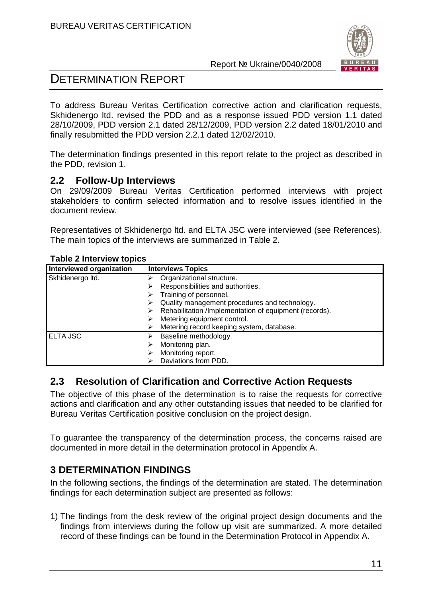

# DETERMINATION REPORT

To address Bureau Veritas Certification corrective action and clarification requests, Skhidenergo ltd. revised the PDD and as a response issued PDD version 1.1 dated 28/10/2009, PDD version 2.1 dated 28/12/2009, PDD version 2.2 dated 18/01/2010 and finally resubmitted the PDD version 2.2.1 dated 12/02/2010.

The determination findings presented in this report relate to the project as described in the PDD, revision 1.

# **2.2 Follow-Up Interviews**

On 29/09/2009 Bureau Veritas Certification performed interviews with project stakeholders to confirm selected information and to resolve issues identified in the document review.

Representatives of Skhidenergo ltd. and ELTA JSC were interviewed (see References). The main topics of the interviews are summarized in Table 2.

| <b>Interviewed organization</b> | <b>Interviews Topics</b>                               |  |  |  |
|---------------------------------|--------------------------------------------------------|--|--|--|
| Skhidenergo Itd.                | Organizational structure.                              |  |  |  |
|                                 | Responsibilities and authorities.                      |  |  |  |
|                                 | Training of personnel.                                 |  |  |  |
|                                 | Quality management procedures and technology.          |  |  |  |
|                                 | Rehabilitation /Implementation of equipment (records). |  |  |  |
|                                 | Metering equipment control.                            |  |  |  |
|                                 | Metering record keeping system, database.              |  |  |  |
| <b>ELTA JSC</b>                 | Baseline methodology.                                  |  |  |  |
|                                 | Monitoring plan.                                       |  |  |  |
|                                 | Monitoring report.                                     |  |  |  |
|                                 | Deviations from PDD.                                   |  |  |  |

#### **Table 2 Interview topics**

# **2.3 Resolution of Clarification and Corrective Action Requests**

The objective of this phase of the determination is to raise the requests for corrective actions and clarification and any other outstanding issues that needed to be clarified for Bureau Veritas Certification positive conclusion on the project design.

To guarantee the transparency of the determination process, the concerns raised are documented in more detail in the determination protocol in Appendix A.

# **3 DETERMINATION FINDINGS**

In the following sections, the findings of the determination are stated. The determination findings for each determination subject are presented as follows:

1) The findings from the desk review of the original project design documents and the findings from interviews during the follow up visit are summarized. A more detailed record of these findings can be found in the Determination Protocol in Appendix A.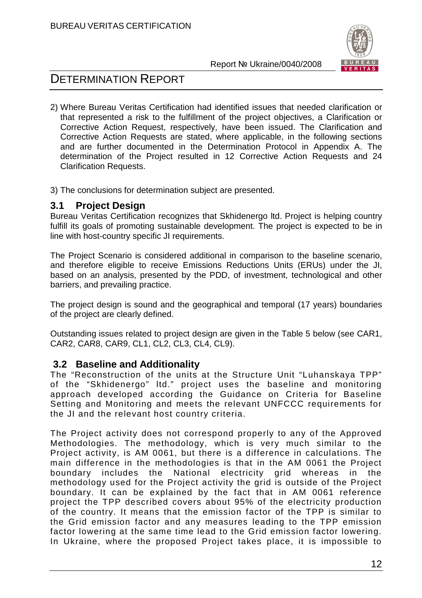

# DETERMINATION REPORT

2) Where Bureau Veritas Certification had identified issues that needed clarification or that represented a risk to the fulfillment of the project objectives, a Clarification or Corrective Action Request, respectively, have been issued. The Clarification and Corrective Action Requests are stated, where applicable, in the following sections and are further documented in the Determination Protocol in Appendix A. The determination of the Project resulted in 12 Corrective Action Requests and 24 Clarification Requests.

3) The conclusions for determination subject are presented.

# **3.1 Project Design**

Bureau Veritas Certification recognizes that Skhidenergo ltd. Project is helping country fulfill its goals of promoting sustainable development. The project is expected to be in line with host-country specific JI requirements.

The Project Scenario is considered additional in comparison to the baseline scenario, and therefore eligible to receive Emissions Reductions Units (ERUs) under the JI, based on an analysis, presented by the PDD, of investment, technological and other barriers, and prevailing practice.

The project design is sound and the geographical and temporal (17 years) boundaries of the project are clearly defined.

Outstanding issues related to project design are given in the Table 5 below (see CAR1, CAR2, CAR8, CAR9, CL1, CL2, CL3, CL4, CL9).

# **3.2 Baseline and Additionality**

The "Reconstruction of the units at the Structure Unit "Luhanskaya TPP" of the "Skhidenergo" ltd." project uses the baseline and monitoring approach developed according the Guidance on Criteria for Baseline Setting and Monitoring and meets the relevant UNFCCC requirements for the JI and the relevant host country criteria.

The Project activity does not correspond properly to any of the Approved Methodologies. The methodology, which is very much similar to the Project activity, is AM 0061, but there is a difference in calculations. The main difference in the methodologies is that in the AM 0061 the Project boundary includes the National electricity grid whereas in the methodology used for the Project activity the grid is outside of the Project boundary. It can be explained by the fact that in AM 0061 reference project the TPP described covers about 95% of the electricity production of the country. It means that the emission factor of the TPP is similar to the Grid emission factor and any measures leading to the TPP emission factor lowering at the same time lead to the Grid emission factor lowering. In Ukraine, where the proposed Project takes place, it is impossible to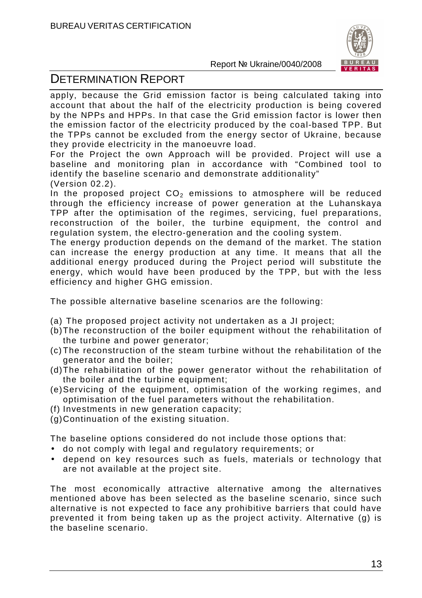

# DETERMINATION REPORT

apply, because the Grid emission factor is being calculated taking into account that about the half of the electricity production is being covered by the NPPs and HPPs. In that case the Grid emission factor is lower then the emission factor of the electricity produced by the coal-based TPP. But the TPPs cannot be excluded from the energy sector of Ukraine, because they provide electricity in the manoeuvre load.

For the Project the own Approach will be provided. Project will use a baseline and monitoring plan in accordance with "Combined tool to identify the baseline scenario and demonstrate additionality" (Version 02.2).

In the proposed project  $CO<sub>2</sub>$  emissions to atmosphere will be reduced through the efficiency increase of power generation at the Luhanskaya TPP after the optimisation of the regimes, servicing, fuel preparations, reconstruction of the boiler, the turbine equipment, the control and regulation system, the electro-generation and the cooling system.

The energy production depends on the demand of the market. The station can increase the energy production at any time. It means that all the additional energy produced during the Project period will substitute the energy, which would have been produced by the TPP, but with the less efficiency and higher GHG emission.

The possible alternative baseline scenarios are the following:

- (a) The proposed project activity not undertaken as a JI project;
- (b) The reconstruction of the boiler equipment without the rehabilitation of the turbine and power generator;
- (c) The reconstruction of the steam turbine without the rehabilitation of the generator and the boiler;
- (d) The rehabilitation of the power generator without the rehabilitation of the boiler and the turbine equipment;
- (e) Servicing of the equipment, optimisation of the working regimes, and optimisation of the fuel parameters without the rehabilitation.
- (f) Investments in new generation capacity;
- (g) Continuation of the existing situation.

The baseline options considered do not include those options that:

- do not comply with legal and regulatory requirements; or
- depend on key resources such as fuels, materials or technology that are not available at the project site.

The most economically attractive alternative among the alternatives mentioned above has been selected as the baseline scenario, since such alternative is not expected to face any prohibitive barriers that could have prevented it from being taken up as the project activity. Alternative (g) is the baseline scenario.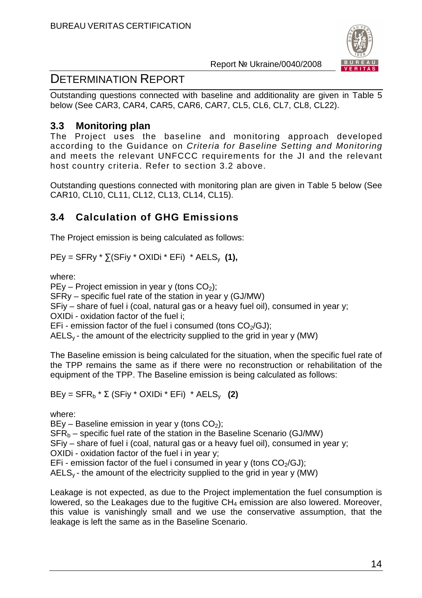

# DETERMINATION REPORT

Outstanding questions connected with baseline and additionality are given in Table 5 below (See CAR3, CAR4, CAR5, CAR6, CAR7, CL5, CL6, CL7, CL8, CL22).

# **3.3 Monitoring plan**

The Project uses the baseline and monitoring approach developed according to the Guidance on Criteria for Baseline Setting and Monitoring and meets the relevant UNFCCC requirements for the JI and the relevant host country criteria. Refer to section 3.2 above.

Outstanding questions connected with monitoring plan are given in Table 5 below (See CAR10, CL10, CL11, CL12, CL13, CL14, CL15).

# **3.4 Calculation of GHG Emissions**

The Project emission is being calculated as follows:

 $PEy = SFRy * \sum (SFiy * OXIDi * EFi) * AELS_v (1),$ 

where:

PEy – Project emission in year y (tons  $CO<sub>2</sub>$ );

SFRy – specific fuel rate of the station in year y (GJ/MW)

SFiy – share of fuel i (coal, natural gas or a heavy fuel oil), consumed in year y;

OXIDi - oxidation factor of the fuel i;

EFi - emission factor of the fuel i consumed (tons  $CO<sub>2</sub>/GJ$ );

 $AELS_{v}$  - the amount of the electricity supplied to the grid in year y (MW)

The Baseline emission is being calculated for the situation, when the specific fuel rate of the TPP remains the same as if there were no reconstruction or rehabilitation of the equipment of the TPP. The Baseline emission is being calculated as follows:

BEy =  $SFR<sub>b</sub> * Σ$  (SFiy \* OXIDi \* EFi) \*  $AELS<sub>v</sub>$  (2)

where:

 $BEv - Baseline$  emission in year y (tons  $CO<sub>2</sub>$ );

 $SFR<sub>b</sub>$  – specific fuel rate of the station in the Baseline Scenario (GJ/MW)

SFiy – share of fuel i (coal, natural gas or a heavy fuel oil), consumed in year y;

OXIDi - oxidation factor of the fuel i in year y;

EFi - emission factor of the fuel i consumed in year y (tons  $CO<sub>2</sub>/GJ$ );

 $AELS<sub>v</sub>$  - the amount of the electricity supplied to the grid in year y (MW)

Leakage is not expected, as due to the Project implementation the fuel consumption is lowered, so the Leakages due to the fugitive CH<sub>4</sub> emission are also lowered. Moreover, this value is vanishingly small and we use the conservative assumption, that the leakage is left the same as in the Baseline Scenario.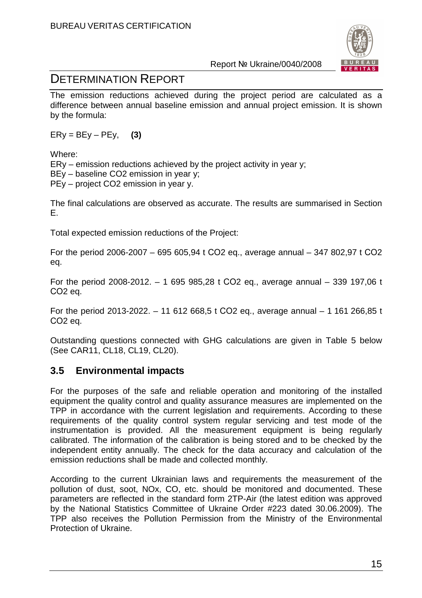

# DETERMINATION REPORT

The emission reductions achieved during the project period are calculated as a difference between annual baseline emission and annual project emission. It is shown by the formula:

 $E$ Ry = BEy – PEy, **(3)** 

Where:

ERy – emission reductions achieved by the project activity in year y;

BEy – baseline CO2 emission in year y;

PEy – project CO2 emission in year y.

The final calculations are observed as accurate. The results are summarised in Section E.

Total expected emission reductions of the Project:

For the period 2006-2007 – 695 605,94 t СО2 eq., average annual – 347 802,97 t СО2 eq.

For the period 2008-2012. – 1 695 985,28 t СО2 eq., average annual – 339 197,06 t СО2 eq.

For the period 2013-2022. – 11 612 668,5 t СО2 eq., average annual – 1 161 266,85 t СО2 eq.

Outstanding questions connected with GHG calculations are given in Table 5 below (See CAR11, CL18, CL19, CL20).

# **3.5 Environmental impacts**

For the purposes of the safe and reliable operation and monitoring of the installed equipment the quality control and quality assurance measures are implemented on the TPP in accordance with the current legislation and requirements. According to these requirements of the quality control system regular servicing and test mode of the instrumentation is provided. All the measurement equipment is being regularly calibrated. The information of the calibration is being stored and to be checked by the independent entity annually. The check for the data accuracy and calculation of the emission reductions shall be made and collected monthly.

According to the current Ukrainian laws and requirements the measurement of the pollution of dust, soot, NOx, CO, etc. should be monitored and documented. These parameters are reflected in the standard form 2TP-Air (the latest edition was approved by the National Statistics Committee of Ukraine Order #223 dated 30.06.2009). The TPP also receives the Pollution Permission from the Ministry of the Environmental Protection of Ukraine.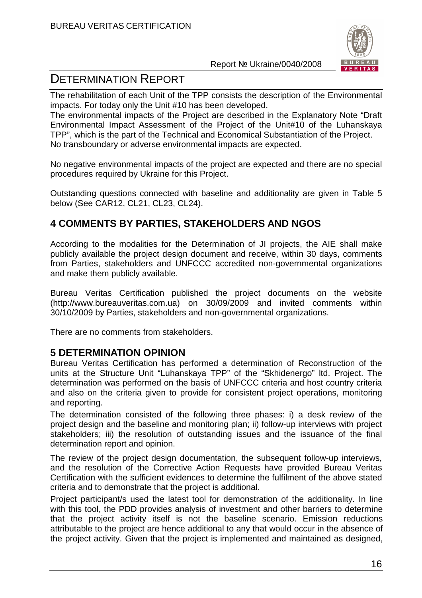

# DETERMINATION REPORT

The rehabilitation of each Unit of the TPP consists the description of the Environmental impacts. For today only the Unit #10 has been developed.

The environmental impacts of the Project are described in the Explanatory Note "Draft Environmental Impact Assessment of the Project of the Unit#10 of the Luhanskaya TPP", which is the part of the Technical and Economical Substantiation of the Project. No transboundary or adverse environmental impacts are expected.

No negative environmental impacts of the project are expected and there are no special procedures required by Ukraine for this Project.

Outstanding questions connected with baseline and additionality are given in Table 5 below (See CAR12, CL21, CL23, CL24).

# **4 COMMENTS BY PARTIES, STAKEHOLDERS AND NGOS**

According to the modalities for the Determination of JI projects, the AIE shall make publicly available the project design document and receive, within 30 days, comments from Parties, stakeholders and UNFCCC accredited non-governmental organizations and make them publicly available.

Bureau Veritas Certification published the project documents on the website (http://www.bureauveritas.com.ua) on 30/09/2009 and invited comments within 30/10/2009 by Parties, stakeholders and non-governmental organizations.

There are no comments from stakeholders.

# **5 DETERMINATION OPINION**

Bureau Veritas Certification has performed a determination of Reconstruction of the units at the Structure Unit "Luhanskaya TPP" of the "Skhidenergo" ltd. Project. The determination was performed on the basis of UNFCCC criteria and host country criteria and also on the criteria given to provide for consistent project operations, monitoring and reporting.

The determination consisted of the following three phases: i) a desk review of the project design and the baseline and monitoring plan; ii) follow-up interviews with project stakeholders; iii) the resolution of outstanding issues and the issuance of the final determination report and opinion.

The review of the project design documentation, the subsequent follow-up interviews, and the resolution of the Corrective Action Requests have provided Bureau Veritas Certification with the sufficient evidences to determine the fulfilment of the above stated criteria and to demonstrate that the project is additional.

Project participant/s used the latest tool for demonstration of the additionality. In line with this tool, the PDD provides analysis of investment and other barriers to determine that the project activity itself is not the baseline scenario. Emission reductions attributable to the project are hence additional to any that would occur in the absence of the project activity. Given that the project is implemented and maintained as designed,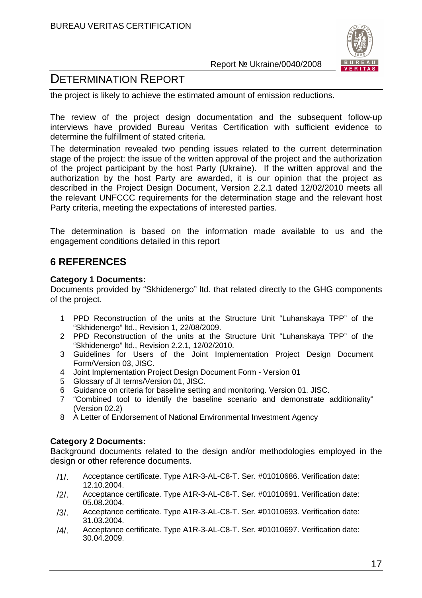

# DETERMINATION REPORT

the project is likely to achieve the estimated amount of emission reductions.

The review of the project design documentation and the subsequent follow-up interviews have provided Bureau Veritas Certification with sufficient evidence to determine the fulfillment of stated criteria.

The determination revealed two pending issues related to the current determination stage of the project: the issue of the written approval of the project and the authorization of the project participant by the host Party (Ukraine). If the written approval and the authorization by the host Party are awarded, it is our opinion that the project as described in the Project Design Document, Version 2.2.1 dated 12/02/2010 meets all the relevant UNFCCC requirements for the determination stage and the relevant host Party criteria, meeting the expectations of interested parties.

The determination is based on the information made available to us and the engagement conditions detailed in this report

# **6 REFERENCES**

#### **Category 1 Documents:**

Documents provided by "Skhidenergo" ltd. that related directly to the GHG components of the project.

- 1 PPD Reconstruction of the units at the Structure Unit "Luhanskaya TPP" of the "Skhidenergo" ltd., Revision 1, 22/08/2009.
- 2 PPD Reconstruction of the units at the Structure Unit "Luhanskaya TPP" of the "Skhidenergo" ltd., Revision 2.2.1, 12/02/2010.
- 3 Guidelines for Users of the Joint Implementation Project Design Document Form/Version 03, JISC.
- 4 Joint Implementation Project Design Document Form Version 01
- 5 Glossary of JI terms/Version 01, JISC.
- 6 Guidance on criteria for baseline setting and monitoring. Version 01. JISC.
- 7 "Combined tool to identify the baseline scenario and demonstrate additionality" (Version 02.2)
- 8 A Letter of Endorsement of National Environmental Investment Agency

#### **Category 2 Documents:**

Background documents related to the design and/or methodologies employed in the design or other reference documents.

- /1/. Acceptance certificate. Type A1R-3-AL-C8-T. Ser. #01010686. Verification date: 12.10.2004.
- /2/. Acceptance certificate. Type A1R-3-AL-C8-T. Ser. #01010691. Verification date: 05.08.2004.
- /3/. Acceptance certificate. Type A1R-3-AL-C8-T. Ser. #01010693. Verification date: 31.03.2004.
- /4/. Acceptance certificate. Type A1R-3-AL-C8-T. Ser. #01010697. Verification date: 30.04.2009.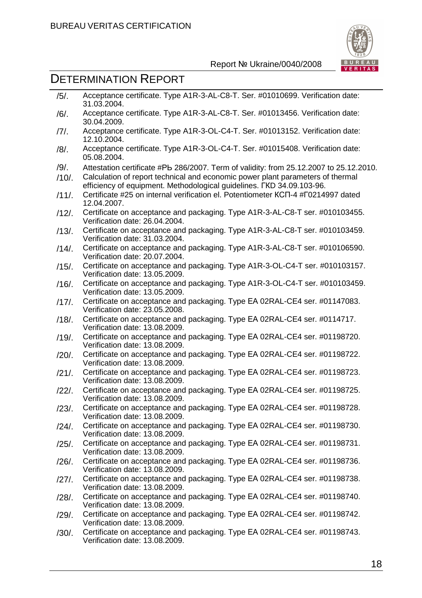

# DETERMINATION REPORT

Verification date: 13.08.2009.

| $/5/$ .  | Acceptance certificate. Type A1R-3-AL-C8-T. Ser. #01010699. Verification date:<br>31.03.2004.                                                           |
|----------|---------------------------------------------------------------------------------------------------------------------------------------------------------|
| $/6/$ .  | Acceptance certificate. Type A1R-3-AL-C8-T. Ser. #01013456. Verification date:<br>30.04.2009.                                                           |
| $/7/$ .  | Acceptance certificate. Type A1R-3-OL-C4-T. Ser. #01013152. Verification date:<br>12.10.2004.                                                           |
| $/8/$ .  | Acceptance certificate. Type A1R-3-OL-C4-T. Ser. #01015408. Verification date:<br>05.08.2004.                                                           |
| $/9/$ .  | Attestation certificate #Pb 286/2007. Term of validity: from 25.12.2007 to 25.12.2010.                                                                  |
| $/10/$ . | Calculation of report technical and economic power plant parameters of thermal<br>efficiency of equipment. Methodological guidelines. FKD 34.09.103-96. |
| $/11/$ . | Certificate #25 on internal verification el. Potentiometer KCN-4 #F0214997 dated<br>12.04.2007.                                                         |
| $/12/$ . | Certificate on acceptance and packaging. Type A1R-3-AL-C8-T ser. #010103455.<br>Verification date: 26.04.2004.                                          |
| $/13/$ . | Certificate on acceptance and packaging. Type A1R-3-AL-C8-T ser. #010103459.<br>Verification date: 31.03.2004.                                          |
| $/14/$ . | Certificate on acceptance and packaging. Type A1R-3-AL-C8-T ser. #010106590.<br>Verification date: 20.07.2004.                                          |
| $/15/$ . | Certificate on acceptance and packaging. Type A1R-3-OL-C4-T ser. #010103157.<br>Verification date: 13.05.2009.                                          |
| $/16/$ . | Certificate on acceptance and packaging. Type A1R-3-OL-C4-T ser. #010103459.<br>Verification date: 13.05.2009.                                          |
| $/17/$ . | Certificate on acceptance and packaging. Type EA 02RAL-CE4 ser. #01147083.<br>Verification date: 23.05.2008.                                            |
| $/18/$ . | Certificate on acceptance and packaging. Type EA 02RAL-CE4 ser. #0114717.<br>Verification date: 13.08.2009.                                             |
| /19/.    | Certificate on acceptance and packaging. Type EA 02RAL-CE4 ser. #01198720.<br>Verification date: 13.08.2009.                                            |
| $/20/$ . | Certificate on acceptance and packaging. Type EA 02RAL-CE4 ser. #01198722.<br>Verification date: 13.08.2009.                                            |
| $/21/$ . | Certificate on acceptance and packaging. Type EA 02RAL-CE4 ser. #01198723.<br>Verification date: 13.08.2009.                                            |
| $/22/$ . | Certificate on acceptance and packaging. Type EA 02RAL-CE4 ser. #01198725.<br>Verification date: 13.08.2009.                                            |
| $/23/$ . | Certificate on acceptance and packaging. Type EA 02RAL-CE4 ser. #01198728.<br>Verification date: 13.08.2009.                                            |
| $/24/$ . | Certificate on acceptance and packaging. Type EA 02RAL-CE4 ser. #01198730.<br>Verification date: 13.08.2009.                                            |
| $/25/$ . | Certificate on acceptance and packaging. Type EA 02RAL-CE4 ser. #01198731.<br>Verification date: 13.08.2009.                                            |
| /26/.    | Certificate on acceptance and packaging. Type EA 02RAL-CE4 ser. #01198736.<br>Verification date: 13.08.2009.                                            |
| $/27/$ . | Certificate on acceptance and packaging. Type EA 02RAL-CE4 ser. #01198738.<br>Verification date: 13.08.2009.                                            |
| $/28/$ . | Certificate on acceptance and packaging. Type EA 02RAL-CE4 ser. #01198740.<br>Verification date: 13.08.2009.                                            |
| /29/.    | Certificate on acceptance and packaging. Type EA 02RAL-CE4 ser. #01198742.<br>Verification date: 13.08.2009.                                            |
| $/30/$ . | Certificate on acceptance and packaging. Type EA 02RAL-CE4 ser. #01198743.                                                                              |
|          |                                                                                                                                                         |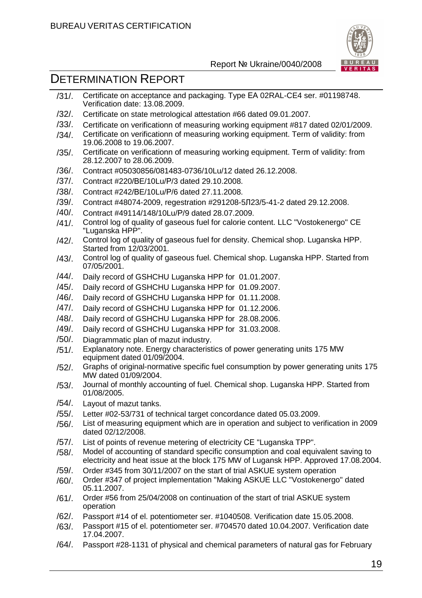

- /31/. Certificate on acceptance and packaging. Type ЕА 02RAL-CE4 ser. #01198748. Verification date: 13.08.2009.
- /32/. Certificate on state metrological attestation #66 dated 09.01.2007.
- /33/. Certificate on verificationn of measuring working equipment #817 dated 02/01/2009.
- /34/. Certificate on verificationn of measuring working equipment. Term of validity: from 19.06.2008 to 19.06.2007.
- /35/. Certificate on verificationn of measuring working equipment. Term of validity: from 28.12.2007 to 28.06.2009.
- /36/. Contract #05030856/081483-0736/10Lu/12 dated 26.12.2008.
- /37/. Contract #220/ВE/10Lu/Р/3 dated 29.10.2008.
- /38/. Contract #242/ВE/10Lu/Р/6 dated 27.11.2008.
- /39/. Contract #48074-2009, regestration #291208-5Л23/5-41-2 dated 29.12.2008.
- /40/. Contract #49114/148/10Lu/Р/9 dated 28.07.2009.
- /41/. Control log of quality of gaseous fuel for calorie content. LLC "Vostokenergo" CE "Luganska HPP".
- /42/. Control log of quality of gaseous fuel for density. Chemical shop. Luganska HPP. Started from 12/03/2001.
- /43/. Control log of quality of gaseous fuel. Chemical shop. Luganska HPP. Started from 07/05/2001.
- /44/. Daily record of GSHCHU Luganska HPP for 01.01.2007.
- /45/. Daily record of GSHCHU Luganska HPP for 01.09.2007.
- /46/. Daily record of GSHCHU Luganska HPP for 01.11.2008.
- /47/. Daily record of GSHCHU Luganska HPP for 01.12.2006.
- /48/. Daily record of GSHCHU Luganska HPP for 28.08.2006.
- /49/. Daily record of GSHCHU Luganska HPP for 31.03.2008.
- /50/. Diagrammatic plan of mazut industry.
- /51/. Explanatory note. Energy characteristics of power generating units 175 МW equipment dated 01/09/2004.
- /52/. Graphs of original-normative specific fuel consumption by power generating units 175 MW dated 01/09/2004.
- /53/. Journal of monthly accounting of fuel. Chemical shop. Luganska HPP. Started from 01/08/2005.
- /54/. Layout of mazut tanks.
- /55/. Letter #02-53/731 of technical target concordance dated 05.03.2009.
- /56/. List of measuring equipment which are in operation and subject to verification in 2009 dated 02/12/2008.
- /57/. List of points of revenue metering of electricity СЕ "Luganska TPP".
- /58/. Model of accounting of standard specific consumption and coal equivalent saving to electricity and heat issue at the block 175 MW of Lugansk HPP. Approved 17.08.2004.
- /59/. Order #345 from 30/11/2007 on the start of trial ASKUE system operation
- /60/. Order #347 of project implementation "Making ASKUE LLC "Vostokenergo" dated 05.11.2007.
- /61/. Order #56 from 25/04/2008 on continuation of the start of trial ASKUE system operation
- /62/. Passport #14 of el. potentiometer ser. #1040508. Verification date 15.05.2008.
- /63/. Passport #15 of el. potentiometer ser. #704570 dated 10.04.2007. Verification date 17.04.2007.
- /64/. Passport #28-1131 of physical and chemical parameters of natural gas for February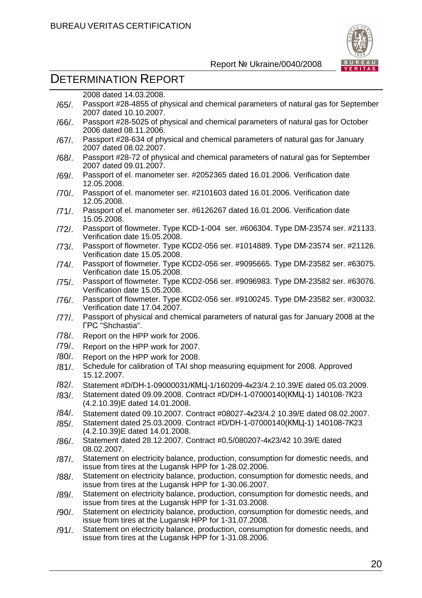

|          | 2008 dated 14.03.2008.                                                                                                                     |
|----------|--------------------------------------------------------------------------------------------------------------------------------------------|
| /65/.    | Passport #28-4855 of physical and chemical parameters of natural gas for September<br>2007 dated 10.10.2007.                               |
| /66/.    | Passport #28-5025 of physical and chemical parameters of natural gas for October<br>2006 dated 08.11.2006.                                 |
| /67/.    | Passport #28-634 of physical and chemical parameters of natural gas for January<br>2007 dated 08.02.2007.                                  |
| /68/.    | Passport #28-72 of physical and chemical parameters of natural gas for September<br>2007 dated 09.01.2007.                                 |
| /69/.    | Passport of el. manometer ser. #2052365 dated 16.01.2006. Verification date<br>12.05.2008.                                                 |
| /70/.    | Passport of el. manometer ser. #2101603 dated 16.01.2006. Verification date<br>12.05.2008.                                                 |
| $/71/$ . | Passport of el. manometer ser. #6126267 dated 16.01.2006. Verification date<br>15.05.2008.                                                 |
| $/72/$ . | Passport of flowmeter. Type KCD-1-004 ser. #606304. Type DM-23574 ser. #21133.<br>Verification date 15.05.2008.                            |
| $/73/$ . | Passport of flowmeter. Type KCD2-056 ser. #1014889. Type DM-23574 ser. #21126.<br>Verification date 15.05.2008.                            |
| /74/.    | Passport of flowmeter. Type KCD2-056 ser. #9095665. Type DM-23582 ser. #63075.<br>Verification date 15.05.2008.                            |
| $/75/$ . | Passport of flowmeter. Type KCD2-056 ser. #9096983. Type DM-23582 ser. #63076.<br>Verification date 15.05.2008.                            |
| /76/.    | Passport of flowmeter. Type KCD2-056 ser. #9100245. Type DM-23582 ser. #30032.<br>Verification date 17.04.2007.                            |
| /77/.    | Passport of physical and chemical parameters of natural gas for January 2008 at the<br><b>FPC</b> "Shchastia".                             |
| /78/.    | Report on the HPP work for 2006.                                                                                                           |
| /79/.    | Report on the HPP work for 2007.                                                                                                           |
| /80/.    | Report on the HPP work for 2008.                                                                                                           |
| $/81/$ . | Schedule for calibration of TAI shop measuring equipment for 2008. Approved<br>15.12.2007.                                                 |
| $/82/$ . | Statement #D/DH-1-09000031/KMLJ-1/160209-4 x23/4.2.10.39/E dated 05.03.2009.                                                               |
| $/83/$ . | Statement dated 09.09.2008. Contract #D/DH-1-07000140(KML-1) 140108-7K23<br>(4.2.10.39)E dated 14.01.2008.                                 |
| /84/.    | Statement dated 09.10.2007. Contract #08027-4x23/4.2 10.39/E dated 08.02.2007.                                                             |
| /85/.    | Statement dated 25.03.2009. Contract #D/DH-1-07000140(KML-1) 140108-7K23<br>(4.2.10.39)E dated 14.01.2008.                                 |
| /86/.    | Statement dated 28.12.2007. Contract #0,5/080207-4 k23/42 10.39/E dated<br>08.02.2007.                                                     |
| /87/.    | Statement on electricity balance, production, consumption for domestic needs, and<br>issue from tires at the Lugansk HPP for 1-28.02.2006. |
| /88/.    | Statement on electricity balance, production, consumption for domestic needs, and<br>issue from tires at the Lugansk HPP for 1-30.06.2007. |
| /89/.    | Statement on electricity balance, production, consumption for domestic needs, and<br>issue from tires at the Lugansk HPP for 1-31.03.2008. |
| /90/.    | Statement on electricity balance, production, consumption for domestic needs, and<br>issue from tires at the Lugansk HPP for 1-31.07.2008. |
| /91/.    | Statement on electricity balance, production, consumption for domestic needs, and<br>issue from tires at the Lugansk HPP for 1-31.08.2006. |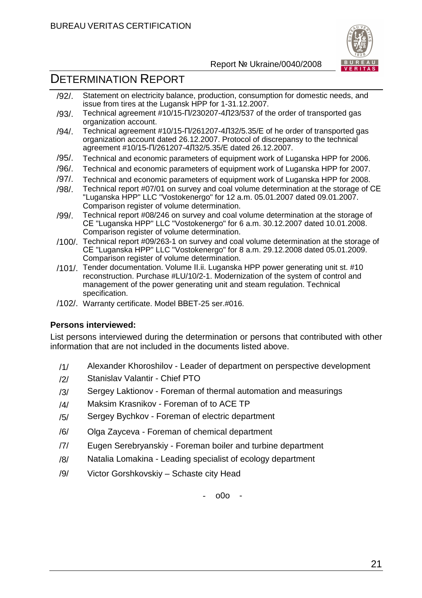

# DETERMINATION REPORT

- /92/. Statement on electricity balance, production, consumption for domestic needs, and issue from tires at the Lugansk HPP for 1-31.12.2007.
- /93/. Technical agreement #10/15-П/230207-4Л23/537 of the order of transported gas organization account.
- /94/. Technical agreement #10/15-П/261207-4Л32/5.35/E of he order of transported gas organization account dated 26.12.2007. Protocol of discrepansy to the technical agreement #10/15-П/261207-4Л32/5.35/E dated 26.12.2007.
- /95/. Technical and economic parameters of equipment work of Luganska HPP for 2006.
- /96/. Technical and economic parameters of equipment work of Luganska HPP for 2007.
- /97/. Technical and economic parameters of equipment work of Luganska HPP for 2008.
- /98/. Technical report #07/01 on survey and coal volume determination at the storage of СЕ "Luganska HPP" LLC "Vostokenergo" for 12 a.m. 05.01.2007 dated 09.01.2007. Comparison register of volume determination.
- /99/. Technical report #08/246 on survey and coal volume determination at the storage of СЕ "Luganska HPP" LLC "Vostokenergo" for 6 a.m. 30.12.2007 dated 10.01.2008. Comparison register of volume determination.
- /100/. Technical report #09/263-1 on survey and coal volume determination at the storage of СЕ "Luganska HPP" LLC "Vostokenergo" for 8 a.m. 29.12.2008 dated 05.01.2009. Comparison register of volume determination.
- /101/. Tender documentation. Volume ІІ.іі. Luganska HPP power generating unit st. #10 reconstruction. Purchase #LU/10/2-1. Modernization of the system of control and management of the power generating unit and steam regulation. Technical specification.
- /102/. Warranty certificate. Model ВВEТ-25 ser.#016.

## **Persons interviewed:**

List persons interviewed during the determination or persons that contributed with other information that are not included in the documents listed above.

- /1/ Alexander Khoroshilov Leader of department on perspective development
- /2/ Stanislav Valantir Chief PTO
- /3/ Sergey Laktionov Foreman of thermal automation and measurings
- /4/ Maksim Krasnikov Foreman of to ACE TP
- /5/ Sergey Bychkov Foreman of electric department
- /6/ Olga Zayceva Foreman of chemical department
- /7/ Eugen Serebryanskiy Foreman boiler and turbine department
- /8/ Natalia Lomakina Leading specialist of ecology department
- /9/ Victor Gorshkovskiy Schaste city Head

- o0o -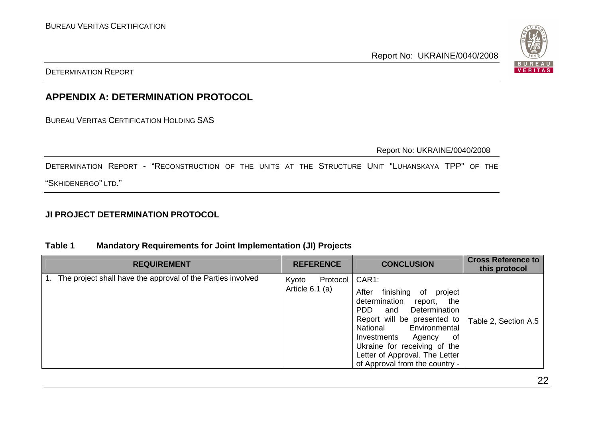

DETERMINATION REPORT

# **APPENDIX A: DETERMINATION PROTOCOL**

BUREAU VERITAS CERTIFICATION HOLDING SAS

Report No: UKRAINE/0040/2008

DETERMINATION REPORT - "RECONSTRUCTION OF THE UNITS AT THE STRUCTURE UNIT "LUHANSKAYA TPP" OF THE

"SKHIDENERGO" LTD."

# **JI PROJECT DETERMINATION PROTOCOL**

## **Table 1 Mandatory Requirements for Joint Implementation (JI) Projects**

| <b>REQUIREMENT</b>                                          | <b>REFERENCE</b>                       | <b>CONCLUSION</b>                                                                                                                                                                                                                                                                                              | <b>Cross Reference to</b><br>this protocol |
|-------------------------------------------------------------|----------------------------------------|----------------------------------------------------------------------------------------------------------------------------------------------------------------------------------------------------------------------------------------------------------------------------------------------------------------|--------------------------------------------|
| The project shall have the approval of the Parties involved | Protocol<br>Kyoto<br>Article $6.1$ (a) | CAR1:<br>finishing<br>After<br>project<br>0f<br>determination<br>the<br>report,<br>PDD.<br>Determination<br>and<br>Report will be presented to<br>Environmental<br>National<br>0f<br>Investments<br>Agency<br>Ukraine for receiving of the<br>Letter of Approval. The Letter<br>of Approval from the country - | Table 2, Section A.5                       |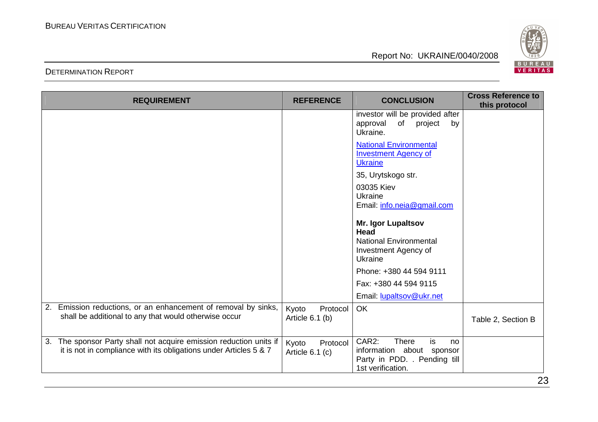BUREAU<br>VERITAS

Report No: UKRAINE/0040/2008

## DETERMINATION REPORT

| <b>REQUIREMENT</b>                                                                                                                         | <b>REFERENCE</b>                     | <b>CONCLUSION</b>                                                                                                   | <b>Cross Reference to</b><br>this protocol |
|--------------------------------------------------------------------------------------------------------------------------------------------|--------------------------------------|---------------------------------------------------------------------------------------------------------------------|--------------------------------------------|
|                                                                                                                                            |                                      | investor will be provided after<br>of<br>approval<br>project<br>by<br>Ukraine.                                      |                                            |
|                                                                                                                                            |                                      | <b>National Environmental</b><br><b>Investment Agency of</b><br><b>Ukraine</b>                                      |                                            |
|                                                                                                                                            |                                      | 35, Urytskogo str.                                                                                                  |                                            |
|                                                                                                                                            |                                      | 03035 Kiev                                                                                                          |                                            |
|                                                                                                                                            |                                      | Ukraine<br>Email: info.neia@gmail.com                                                                               |                                            |
|                                                                                                                                            |                                      | Mr. Igor Lupaltsov<br><b>Head</b>                                                                                   |                                            |
|                                                                                                                                            |                                      | <b>National Environmental</b><br>Investment Agency of<br>Ukraine                                                    |                                            |
|                                                                                                                                            |                                      | Phone: +380 44 594 9111                                                                                             |                                            |
|                                                                                                                                            |                                      | Fax: +380 44 594 9115                                                                                               |                                            |
|                                                                                                                                            |                                      | Email: lupaltsov@ukr.net                                                                                            |                                            |
| 2. Emission reductions, or an enhancement of removal by sinks,<br>shall be additional to any that would otherwise occur                    | Protocol<br>Kyoto<br>Article 6.1 (b) | <b>OK</b>                                                                                                           | Table 2, Section B                         |
| The sponsor Party shall not acquire emission reduction units if<br>3.<br>it is not in compliance with its obligations under Articles 5 & 7 | Kyoto<br>Protocol<br>Article 6.1 (c) | CAR2:<br><b>There</b><br>is<br>no<br>information about sponsor<br>Party in PDD. . Pending till<br>1st verification. |                                            |

23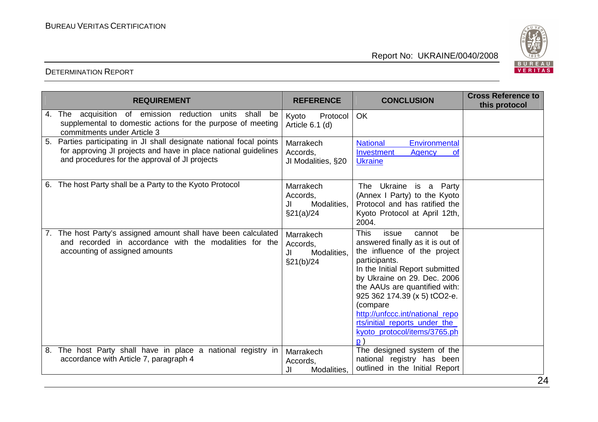

|    | <b>REQUIREMENT</b>                                                                                                                                                                     | <b>REFERENCE</b>                                         | <b>CONCLUSION</b>                                                                                                                                                                                                                                                                                                                                                                            | <b>Cross Reference to</b><br>this protocol |
|----|----------------------------------------------------------------------------------------------------------------------------------------------------------------------------------------|----------------------------------------------------------|----------------------------------------------------------------------------------------------------------------------------------------------------------------------------------------------------------------------------------------------------------------------------------------------------------------------------------------------------------------------------------------------|--------------------------------------------|
| 4. | The acquisition of emission reduction<br>units<br>shall<br>be<br>supplemental to domestic actions for the purpose of meeting<br>commitments under Article 3                            | Protocol<br>Kyoto<br>Article 6.1 (d)                     | OK                                                                                                                                                                                                                                                                                                                                                                                           |                                            |
| 5. | Parties participating in JI shall designate national focal points<br>for approving JI projects and have in place national guidelines<br>and procedures for the approval of JI projects | Marrakech<br>Accords,<br>JI Modalities, §20              | <b>National</b><br>Environmental<br>Investment<br><b>Agency</b><br>0t<br><b>Ukraine</b>                                                                                                                                                                                                                                                                                                      |                                            |
|    | 6. The host Party shall be a Party to the Kyoto Protocol                                                                                                                               | Marrakech<br>Accords,<br>JI<br>Modalities,<br>§21(a)/24  | The Ukraine is a Party<br>(Annex I Party) to the Kyoto<br>Protocol and has ratified the<br>Kyoto Protocol at April 12th,<br>2004.                                                                                                                                                                                                                                                            |                                            |
|    | The host Party's assigned amount shall have been calculated<br>and recorded in accordance with the modalities for the<br>accounting of assigned amounts                                | Marrakech<br>Accords,<br>Modalities,<br>JI<br>\$21(b)/24 | <b>This</b><br>issue<br>cannot<br>be<br>answered finally as it is out of<br>the influence of the project<br>participants.<br>In the Initial Report submitted<br>by Ukraine on 29. Dec. 2006<br>the AAUs are quantified with:<br>925 362 174.39 (x 5) tCO2-e.<br>(compare<br>http://unfccc.int/national repo<br>rts/initial reports under the<br>kyoto protocol/items/3765.ph<br>$\mathsf{D}$ |                                            |
| 8. | The host Party shall have in place a national registry in<br>accordance with Article 7, paragraph 4                                                                                    | Marrakech<br>Accords,<br>Modalities,<br>JI               | The designed system of the<br>national registry has been<br>outlined in the Initial Report                                                                                                                                                                                                                                                                                                   |                                            |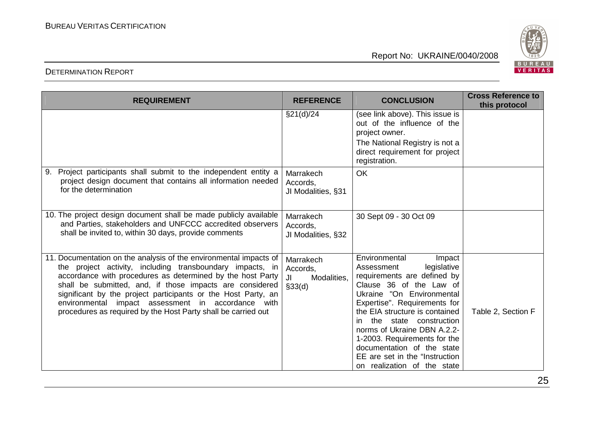BUREAU<br>VERITAS

#### DETERMINATION REPORT

| <b>REQUIREMENT</b>                                                                                                                                                                                                                                                                                                                                                                                                                               | <b>REFERENCE</b>                                      | <b>CONCLUSION</b>                                                                                                                                                                                                                                                                                                                                                                                             | <b>Cross Reference to</b><br>this protocol |
|--------------------------------------------------------------------------------------------------------------------------------------------------------------------------------------------------------------------------------------------------------------------------------------------------------------------------------------------------------------------------------------------------------------------------------------------------|-------------------------------------------------------|---------------------------------------------------------------------------------------------------------------------------------------------------------------------------------------------------------------------------------------------------------------------------------------------------------------------------------------------------------------------------------------------------------------|--------------------------------------------|
|                                                                                                                                                                                                                                                                                                                                                                                                                                                  | \$21(d)/24                                            | (see link above). This issue is<br>out of the influence of the<br>project owner.<br>The National Registry is not a<br>direct requirement for project                                                                                                                                                                                                                                                          |                                            |
|                                                                                                                                                                                                                                                                                                                                                                                                                                                  |                                                       | registration.                                                                                                                                                                                                                                                                                                                                                                                                 |                                            |
| Project participants shall submit to the independent entity a<br>9.<br>project design document that contains all information needed<br>for the determination                                                                                                                                                                                                                                                                                     | Marrakech<br>Accords,<br>JI Modalities, §31           | <b>OK</b>                                                                                                                                                                                                                                                                                                                                                                                                     |                                            |
| 10. The project design document shall be made publicly available<br>and Parties, stakeholders and UNFCCC accredited observers<br>shall be invited to, within 30 days, provide comments                                                                                                                                                                                                                                                           | Marrakech<br>Accords,<br>JI Modalities, §32           | 30 Sept 09 - 30 Oct 09                                                                                                                                                                                                                                                                                                                                                                                        |                                            |
| 11. Documentation on the analysis of the environmental impacts of<br>the project activity, including transboundary impacts, in<br>accordance with procedures as determined by the host Party<br>shall be submitted, and, if those impacts are considered<br>significant by the project participants or the Host Party, an<br>environmental impact assessment in accordance with<br>procedures as required by the Host Party shall be carried out | Marrakech<br>Accords,<br>Modalities,<br>JI<br>\$33(d) | Environmental<br>Impact<br>legislative<br>Assessment<br>requirements are defined by<br>Clause 36 of the Law of<br>Ukraine "On Environmental<br>Expertise". Requirements for<br>the EIA structure is contained<br>the state construction<br>in.<br>norms of Ukraine DBN A.2.2-<br>1-2003. Requirements for the<br>documentation of the state<br>EE are set in the "Instruction"<br>on realization of the state | Table 2, Section F                         |

# Report No: UKRAINE/0040/2008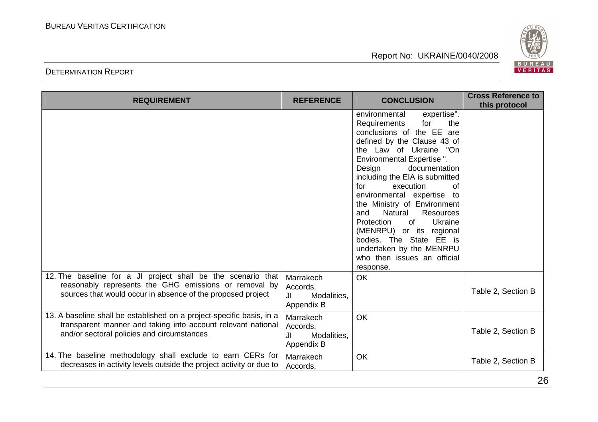

## DETERMINATION REPORT

| <b>REQUIREMENT</b>                                                                                                                                                                   | <b>REFERENCE</b>                                         | <b>CONCLUSION</b>                                                                                                                                                                                                                                                                                                                                                                                                                                                                                                                                  | <b>Cross Reference to</b><br>this protocol |
|--------------------------------------------------------------------------------------------------------------------------------------------------------------------------------------|----------------------------------------------------------|----------------------------------------------------------------------------------------------------------------------------------------------------------------------------------------------------------------------------------------------------------------------------------------------------------------------------------------------------------------------------------------------------------------------------------------------------------------------------------------------------------------------------------------------------|--------------------------------------------|
|                                                                                                                                                                                      |                                                          | environmental<br>expertise".<br>the<br><b>Requirements</b><br>for<br>conclusions of the EE are<br>defined by the Clause 43 of<br>the Law of Ukraine<br>"On<br>Environmental Expertise".<br>documentation<br>Design<br>including the EIA is submitted<br>execution<br>for<br>0f<br>environmental expertise<br>to<br>the Ministry of Environment<br>Natural<br>Resources<br>and<br><b>Protection</b><br>of<br>Ukraine<br>(MENRPU) or its regional<br>bodies. The State EE is<br>undertaken by the MENRPU<br>who then issues an official<br>response. |                                            |
| 12. The baseline for a JI project shall be the scenario that<br>reasonably represents the GHG emissions or removal by<br>sources that would occur in absence of the proposed project | Marrakech<br>Accords,<br>JI<br>Modalities,<br>Appendix B | OK                                                                                                                                                                                                                                                                                                                                                                                                                                                                                                                                                 | Table 2, Section B                         |
| 13. A baseline shall be established on a project-specific basis, in a<br>transparent manner and taking into account relevant national<br>and/or sectoral policies and circumstances  | Marrakech<br>Accords,<br>Modalities,<br>JI<br>Appendix B | <b>OK</b>                                                                                                                                                                                                                                                                                                                                                                                                                                                                                                                                          | Table 2, Section B                         |
| 14. The baseline methodology shall exclude to earn CERs for<br>decreases in activity levels outside the project activity or due to                                                   | Marrakech<br>Accords,                                    | OK                                                                                                                                                                                                                                                                                                                                                                                                                                                                                                                                                 | Table 2, Section B                         |

26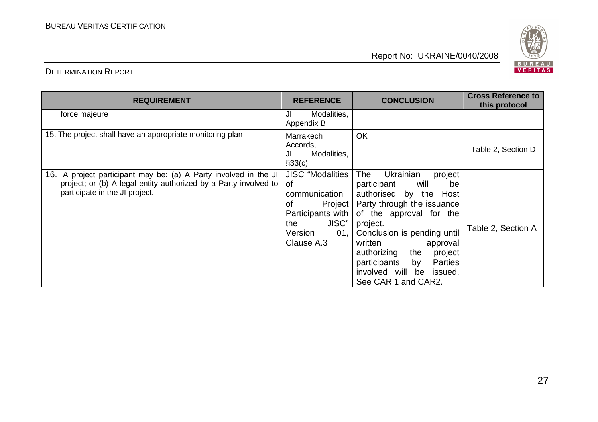

| <b>REQUIREMENT</b>                                                                                                                                                     | <b>REFERENCE</b>                                                                                                                     | <b>CONCLUSION</b>                                                                                                                                                                                                                                                                                                            | <b>Cross Reference to</b><br>this protocol |
|------------------------------------------------------------------------------------------------------------------------------------------------------------------------|--------------------------------------------------------------------------------------------------------------------------------------|------------------------------------------------------------------------------------------------------------------------------------------------------------------------------------------------------------------------------------------------------------------------------------------------------------------------------|--------------------------------------------|
| force majeure                                                                                                                                                          | JI<br>Modalities,<br>Appendix B                                                                                                      |                                                                                                                                                                                                                                                                                                                              |                                            |
| 15. The project shall have an appropriate monitoring plan                                                                                                              | Marrakech<br>Accords,<br>Modalities,<br>JI<br>§33(c)                                                                                 | OK                                                                                                                                                                                                                                                                                                                           | Table 2, Section D                         |
| 16. A project participant may be: (a) A Party involved in the JI<br>project; or (b) A legal entity authorized by a Party involved to<br>participate in the JI project. | <b>JISC</b> "Modalities<br>0f<br>communication<br>οf<br>Project<br>Participants with<br>JISC"<br>the<br>01,<br>Version<br>Clause A.3 | Ukrainian<br>The<br>project<br>participant<br>will<br>be<br>authorised by the Host<br>Party through the issuance<br>of the approval for the<br>project.<br>Conclusion is pending until<br>written<br>approval<br>authorizing the<br>project<br>participants by<br>Parties<br>involved will be issued.<br>See CAR 1 and CAR2. | Table 2, Section A                         |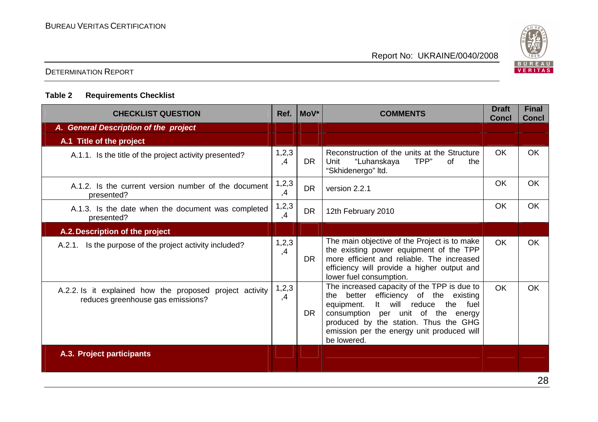

## DETERMINATION REPORT

## **Table 2 Requirements Checklist**

| <b>CHECKLIST QUESTION</b>                                                                     | Ref.          | MoV*      | <b>COMMENTS</b>                                                                                                                                                                                                                                                           | <b>Draft</b><br><b>Concl</b> | <b>Final</b><br><b>Concl</b> |
|-----------------------------------------------------------------------------------------------|---------------|-----------|---------------------------------------------------------------------------------------------------------------------------------------------------------------------------------------------------------------------------------------------------------------------------|------------------------------|------------------------------|
| A. General Description of the project                                                         |               |           |                                                                                                                                                                                                                                                                           |                              |                              |
| A.1 Title of the project                                                                      |               |           |                                                                                                                                                                                                                                                                           |                              |                              |
| A.1.1. Is the title of the project activity presented?                                        | 1,2,3<br>,4   | <b>DR</b> | Reconstruction of the units at the Structure<br>"Luhanskaya<br>TPP"<br>Unit<br>of<br>the<br>"Skhidenergo" Itd.                                                                                                                                                            | <b>OK</b>                    | <b>OK</b>                    |
| A.1.2. Is the current version number of the document<br>presented?                            | 1,2,3<br>,4   | <b>DR</b> | version 2.2.1                                                                                                                                                                                                                                                             | <b>OK</b>                    | OK                           |
| A.1.3. Is the date when the document was completed<br>presented?                              | 1, 2, 3<br>,4 | <b>DR</b> | 12th February 2010                                                                                                                                                                                                                                                        | OK                           | <b>OK</b>                    |
| A.2. Description of the project                                                               |               |           |                                                                                                                                                                                                                                                                           |                              |                              |
| A.2.1. Is the purpose of the project activity included?                                       | 1,2,3<br>,4   | <b>DR</b> | The main objective of the Project is to make<br>the existing power equipment of the TPP<br>more efficient and reliable. The increased<br>efficiency will provide a higher output and<br>lower fuel consumption.                                                           | <b>OK</b>                    | OK                           |
| A.2.2. Is it explained how the proposed project activity<br>reduces greenhouse gas emissions? | 1,2,3<br>,4   | <b>DR</b> | The increased capacity of the TPP is due to<br>the better efficiency of the existing<br>It will reduce the fuel<br>equipment.<br>consumption per unit of the energy<br>produced by the station. Thus the GHG<br>emission per the energy unit produced will<br>be lowered. | <b>OK</b>                    | <b>OK</b>                    |
| A.3. Project participants                                                                     |               |           |                                                                                                                                                                                                                                                                           |                              |                              |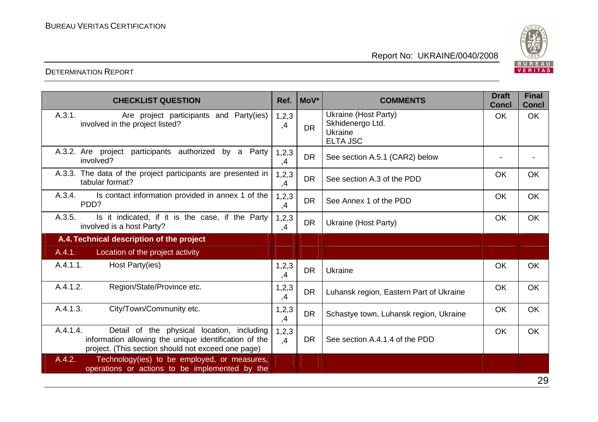

| <b>CHECKLIST QUESTION</b>                                                                                                                                             | Ref.          | MoV*      | <b>COMMENTS</b>                                                        | <b>Draft</b><br><b>Concl</b> | <b>Final</b><br><b>Concl</b> |
|-----------------------------------------------------------------------------------------------------------------------------------------------------------------------|---------------|-----------|------------------------------------------------------------------------|------------------------------|------------------------------|
| A.3.1.<br>Are project participants and Party(ies)<br>involved in the project listed?                                                                                  | 1,2,3<br>,4   | <b>DR</b> | Ukraine (Host Party)<br>Skhidenergo Ltd.<br>Ukraine<br><b>ELTA JSC</b> | OK.                          | <b>OK</b>                    |
| A.3.2. Are project participants authorized<br>by a Party<br>involved?                                                                                                 | 1,2,3<br>,4   | <b>DR</b> | See section A.5.1 (CAR2) below                                         | $\blacksquare$               |                              |
| A.3.3. The data of the project participants are presented in<br>tabular format?                                                                                       | 1, 2, 3<br>,4 | <b>DR</b> | See section A.3 of the PDD                                             | OK                           | OK                           |
| Is contact information provided in annex 1 of the<br>A.3.4.<br>PDD?                                                                                                   | 1, 2, 3<br>,4 | <b>DR</b> | See Annex 1 of the PDD                                                 | <b>OK</b>                    | <b>OK</b>                    |
| A.3.5.<br>Is it indicated, if it is the case, if the Party<br>involved is a host Party?                                                                               | 1, 2, 3<br>,4 | <b>DR</b> | Ukraine (Host Party)                                                   | OK                           | <b>OK</b>                    |
| A.4. Technical description of the project                                                                                                                             |               |           |                                                                        |                              |                              |
| A.4.1.<br>Location of the project activity                                                                                                                            |               |           |                                                                        |                              |                              |
| A.4.1.1.<br>Host Party(ies)                                                                                                                                           | 1, 2, 3<br>,4 | <b>DR</b> | Ukraine                                                                | <b>OK</b>                    | <b>OK</b>                    |
| A.4.1.2.<br>Region/State/Province etc.                                                                                                                                | 1, 2, 3<br>,4 | <b>DR</b> | Luhansk region, Eastern Part of Ukraine                                | OK                           | <b>OK</b>                    |
| A.4.1.3.<br>City/Town/Community etc.                                                                                                                                  | 1, 2, 3<br>,4 | <b>DR</b> | Schastye town, Luhansk region, Ukraine                                 | OK                           | <b>OK</b>                    |
| A.4.1.4.<br>Detail of the physical location, including<br>information allowing the unique identification of the<br>project. (This section should not exceed one page) | 1,2,3<br>,4   | <b>DR</b> | See section A.4.1.4 of the PDD                                         | OK                           | <b>OK</b>                    |
| A.4.2.<br>Technology(ies) to be employed, or measures,<br>operations or actions to be implemented by the                                                              |               |           |                                                                        |                              |                              |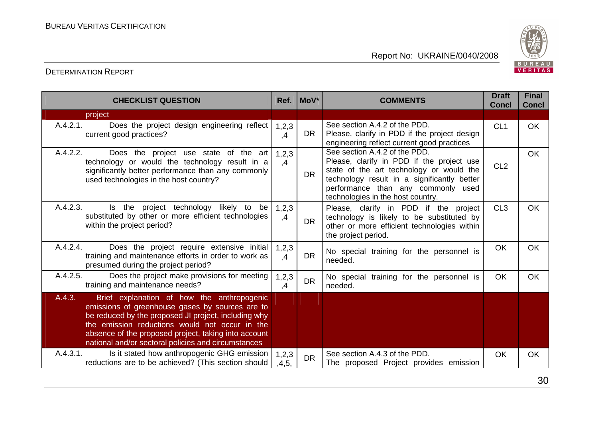

| <b>CHECKLIST QUESTION</b>                                                                                                                                                                                                                                                                                                        | Ref.           | MoV*      | <b>COMMENTS</b>                                                                                                                                                                                                                                  | <b>Draft</b><br><b>Concl</b> | <b>Final</b><br><b>Concl</b> |
|----------------------------------------------------------------------------------------------------------------------------------------------------------------------------------------------------------------------------------------------------------------------------------------------------------------------------------|----------------|-----------|--------------------------------------------------------------------------------------------------------------------------------------------------------------------------------------------------------------------------------------------------|------------------------------|------------------------------|
| project                                                                                                                                                                                                                                                                                                                          |                |           |                                                                                                                                                                                                                                                  |                              |                              |
| A.4.2.1.<br>Does the project design engineering reflect<br>current good practices?                                                                                                                                                                                                                                               | 1,2,3<br>,4    | <b>DR</b> | See section A.4.2 of the PDD.<br>Please, clarify in PDD if the project design<br>engineering reflect current good practices                                                                                                                      | CL <sub>1</sub>              | OK                           |
| A.4.2.2.<br>Does the project use state of the art<br>technology or would the technology result in a<br>significantly better performance than any commonly<br>used technologies in the host country?                                                                                                                              | 1,2,3<br>,4    | <b>DR</b> | See section A.4.2 of the PDD.<br>Please, clarify in PDD if the project use<br>state of the art technology or would the<br>technology result in a significantly better<br>performance than any commonly used<br>technologies in the host country. | CL <sub>2</sub>              | <b>OK</b>                    |
| A.4.2.3.<br>Is the project technology likely to<br>be<br>substituted by other or more efficient technologies<br>within the project period?                                                                                                                                                                                       | 1,2,3<br>,4    | <b>DR</b> | Please, clarify in PDD if the project<br>technology is likely to be substituted by<br>other or more efficient technologies within<br>the project period.                                                                                         | CL <sub>3</sub>              | <b>OK</b>                    |
| A.4.2.4.<br>Does the project require extensive initial<br>training and maintenance efforts in order to work as<br>presumed during the project period?                                                                                                                                                                            | 1,2,3<br>,4    | <b>DR</b> | No special training for the personnel is<br>needed.                                                                                                                                                                                              | OK                           | OK                           |
| A.4.2.5.<br>Does the project make provisions for meeting<br>training and maintenance needs?                                                                                                                                                                                                                                      | 1,2,3<br>,4    | <b>DR</b> | No special training for the personnel is<br>needed.                                                                                                                                                                                              | <b>OK</b>                    | OK                           |
| Brief explanation of how the anthropogenic<br>A.4.3.<br>emissions of greenhouse gases by sources are to<br>be reduced by the proposed JI project, including why<br>the emission reductions would not occur in the<br>absence of the proposed project, taking into account<br>national and/or sectoral policies and circumstances |                |           |                                                                                                                                                                                                                                                  |                              |                              |
| A.4.3.1.<br>Is it stated how anthropogenic GHG emission<br>reductions are to be achieved? (This section should                                                                                                                                                                                                                   | 1,2,3<br>,4,5, | <b>DR</b> | See section A.4.3 of the PDD.<br>The proposed Project provides emission                                                                                                                                                                          | <b>OK</b>                    | OK                           |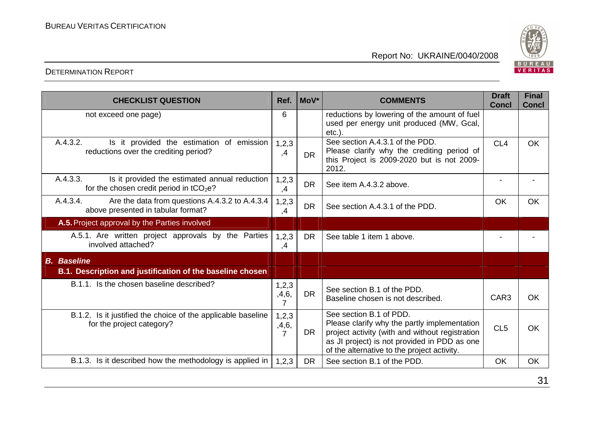

| <b>CHECKLIST QUESTION</b>                                                                              | Ref.                  | MoV*      | <b>COMMENTS</b>                                                                                                                                                                                                           | <b>Draft</b><br><b>Concl</b> | <b>Final</b><br><b>Concl</b> |
|--------------------------------------------------------------------------------------------------------|-----------------------|-----------|---------------------------------------------------------------------------------------------------------------------------------------------------------------------------------------------------------------------------|------------------------------|------------------------------|
| not exceed one page)                                                                                   | 6                     |           | reductions by lowering of the amount of fuel<br>used per energy unit produced (MW, Gcal,<br>$etc.$ ).                                                                                                                     |                              |                              |
| A.4.3.2.<br>Is it provided the estimation of emission<br>reductions over the crediting period?         | 1,2,3<br>,4           | <b>DR</b> | See section A.4.3.1 of the PDD.<br>Please clarify why the crediting period of<br>this Project is 2009-2020 but is not 2009-<br>2012.                                                                                      | CL <sub>4</sub>              | <b>OK</b>                    |
| A.4.3.3.<br>Is it provided the estimated annual reduction<br>for the chosen credit period in $tCO2e$ ? | 1,2,3<br>,4           | <b>DR</b> | See item A.4.3.2 above.                                                                                                                                                                                                   |                              |                              |
| A.4.3.4.<br>Are the data from questions A.4.3.2 to A.4.3.4<br>above presented in tabular format?       | 1,2,3<br>,4           | <b>DR</b> | See section A.4.3.1 of the PDD.                                                                                                                                                                                           | OK                           | <b>OK</b>                    |
| A.5. Project approval by the Parties involved                                                          |                       |           |                                                                                                                                                                                                                           |                              |                              |
| A.5.1. Are written project approvals by the Parties<br>involved attached?                              | 1,2,3<br>,4           | DR.       | See table 1 item 1 above.                                                                                                                                                                                                 |                              |                              |
| <b>B.</b> Baseline                                                                                     |                       |           |                                                                                                                                                                                                                           |                              |                              |
| B.1. Description and justification of the baseline chosen                                              |                       |           |                                                                                                                                                                                                                           |                              |                              |
| B.1.1. Is the chosen baseline described?                                                               | 1, 2, 3<br>,4,6,<br>7 | <b>DR</b> | See section B.1 of the PDD.<br>Baseline chosen is not described.                                                                                                                                                          | CAR <sub>3</sub>             | <b>OK</b>                    |
| B.1.2. Is it justified the choice of the applicable baseline<br>for the project category?              | 1, 2, 3<br>,4,6,<br>7 | DR.       | See section B.1 of PDD.<br>Please clarify why the partly implementation<br>project activity (with and without registration<br>as JI project) is not provided in PDD as one<br>of the alternative to the project activity. | CL <sub>5</sub>              | OK                           |
| B.1.3. Is it described how the methodology is applied in                                               | 1,2,3                 | <b>DR</b> | See section B.1 of the PDD.                                                                                                                                                                                               | <b>OK</b>                    | OK                           |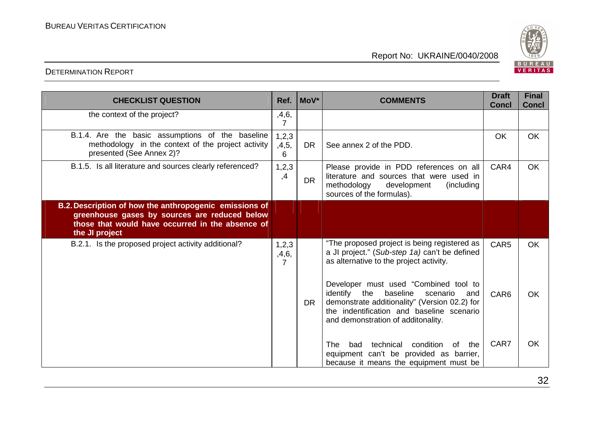

| <b>CHECKLIST QUESTION</b>                                                                                                                                                     | Ref.                    | MoV*      | <b>COMMENTS</b>                                                                                                                                                                                                             | <b>Draft</b><br><b>Concl</b> | <b>Final</b><br><b>Concl</b> |
|-------------------------------------------------------------------------------------------------------------------------------------------------------------------------------|-------------------------|-----------|-----------------------------------------------------------------------------------------------------------------------------------------------------------------------------------------------------------------------------|------------------------------|------------------------------|
| the context of the project?                                                                                                                                                   | ,4,6,<br>$\overline{7}$ |           |                                                                                                                                                                                                                             |                              |                              |
| B.1.4. Are the basic assumptions of the baseline<br>methodology in the context of the project activity<br>presented (See Annex 2)?                                            | 1,2,3<br>,4,5,<br>6     | <b>DR</b> | See annex 2 of the PDD.                                                                                                                                                                                                     | <b>OK</b>                    | <b>OK</b>                    |
| B.1.5. Is all literature and sources clearly referenced?                                                                                                                      | 1,2,3<br>,4             | <b>DR</b> | Please provide in PDD references on all<br>literature and sources that were used in<br>development<br>methodology<br>(including)<br>sources of the formulas).                                                               | CAR4                         | <b>OK</b>                    |
| B.2. Description of how the anthropogenic emissions of<br>greenhouse gases by sources are reduced below<br>those that would have occurred in the absence of<br>the JI project |                         |           |                                                                                                                                                                                                                             |                              |                              |
| B.2.1. Is the proposed project activity additional?                                                                                                                           | 1, 2, 3<br>,4,6,<br>7   |           | "The proposed project is being registered as<br>a JI project." (Sub-step 1a) can't be defined<br>as alternative to the project activity.                                                                                    | CAR <sub>5</sub>             | <b>OK</b>                    |
|                                                                                                                                                                               |                         | <b>DR</b> | Developer must used "Combined tool to<br>identify<br>the<br>baseline<br>scenario<br>and<br>demonstrate additionality" (Version 02.2) for<br>the indentification and baseline scenario<br>and demonstration of additonality. | CAR6                         | <b>OK</b>                    |
|                                                                                                                                                                               |                         |           | technical<br>condition<br><b>The</b><br>bad<br>the<br>of<br>equipment can't be provided as barrier,<br>because it means the equipment must be                                                                               | CAR7                         | <b>OK</b>                    |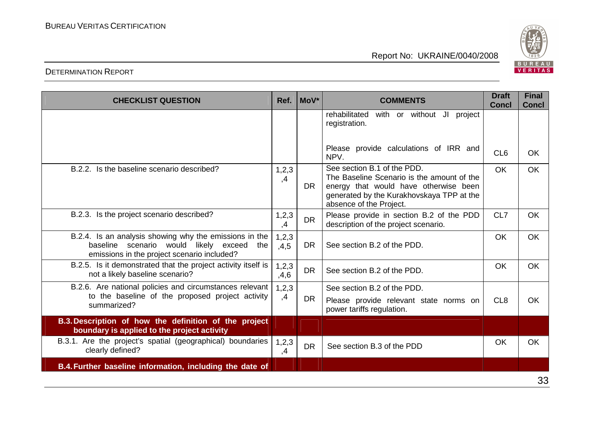BUREAU<br>VERITAS

#### DETERMINATION REPORT

| <b>CHECKLIST QUESTION</b>                                                                                                                             | Ref.            | MoV*      | <b>COMMENTS</b>                                                                                                                                                                            | <b>Draft</b><br><b>Concl</b> | <b>Final</b><br><b>Concl</b> |
|-------------------------------------------------------------------------------------------------------------------------------------------------------|-----------------|-----------|--------------------------------------------------------------------------------------------------------------------------------------------------------------------------------------------|------------------------------|------------------------------|
|                                                                                                                                                       |                 |           | rehabilitated<br>with or without JI<br>project<br>registration.                                                                                                                            |                              |                              |
|                                                                                                                                                       |                 |           | Please provide calculations of IRR and<br>NPV.                                                                                                                                             | CL <sub>6</sub>              | <b>OK</b>                    |
| B.2.2. Is the baseline scenario described?                                                                                                            | 1,2,3<br>,4     | DR.       | See section B.1 of the PDD.<br>The Baseline Scenario is the amount of the<br>energy that would have otherwise been<br>generated by the Kurakhovskaya TPP at the<br>absence of the Project. | <b>OK</b>                    | <b>OK</b>                    |
| B.2.3. Is the project scenario described?                                                                                                             | 1, 2, 3<br>,4   | <b>DR</b> | Please provide in section B.2 of the PDD<br>description of the project scenario.                                                                                                           | CL7                          | <b>OK</b>                    |
| B.2.4. Is an analysis showing why the emissions in the<br>baseline scenario would likely exceed<br>the<br>emissions in the project scenario included? | 1,2,3<br>,4,5   | <b>DR</b> | See section B.2 of the PDD.                                                                                                                                                                | <b>OK</b>                    | <b>OK</b>                    |
| B.2.5. Is it demonstrated that the project activity itself is<br>not a likely baseline scenario?                                                      | 1, 2, 3<br>,4,6 | <b>DR</b> | See section B.2 of the PDD.                                                                                                                                                                | <b>OK</b>                    | <b>OK</b>                    |
| B.2.6. Are national policies and circumstances relevant                                                                                               | 1,2,3           |           | See section B.2 of the PDD.                                                                                                                                                                |                              |                              |
| to the baseline of the proposed project activity<br>summarized?                                                                                       | ,4              | <b>DR</b> | Please provide relevant state norms on<br>power tariffs regulation.                                                                                                                        | CL <sub>8</sub>              | OK                           |
| B.3. Description of how the definition of the project<br>boundary is applied to the project activity                                                  |                 |           |                                                                                                                                                                                            |                              |                              |
| B.3.1. Are the project's spatial (geographical) boundaries<br>clearly defined?                                                                        | 1,2,3<br>,4     | <b>DR</b> | See section B.3 of the PDD                                                                                                                                                                 | <b>OK</b>                    | <b>OK</b>                    |
| B.4. Further baseline information, including the date of                                                                                              |                 |           |                                                                                                                                                                                            |                              |                              |

# Report No: UKRAINE/0040/2008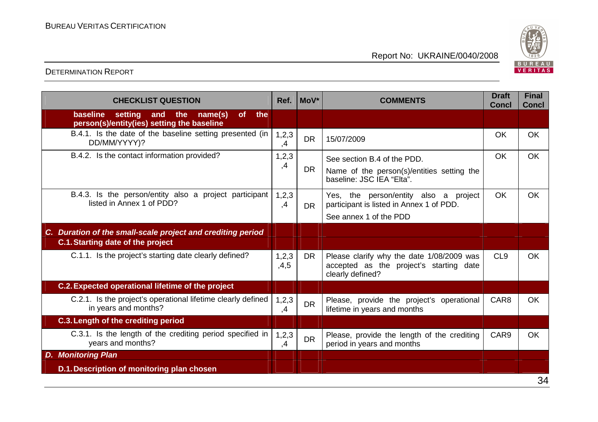

| <b>CHECKLIST QUESTION</b>                                                                                      | Ref.            | MoV*      | <b>COMMENTS</b>                                                                                             | <b>Draft</b><br><b>Concl</b> | <b>Final</b><br><b>Concl</b> |
|----------------------------------------------------------------------------------------------------------------|-----------------|-----------|-------------------------------------------------------------------------------------------------------------|------------------------------|------------------------------|
| baseline<br>setting<br>name(s)<br><b>of</b><br>the<br>the<br>and<br>person(s)/entity(ies) setting the baseline |                 |           |                                                                                                             |                              |                              |
| B.4.1. Is the date of the baseline setting presented (in<br>DD/MM/YYYY)?                                       | 1,2,3<br>,4     | <b>DR</b> | 15/07/2009                                                                                                  | <b>OK</b>                    | <b>OK</b>                    |
| B.4.2. Is the contact information provided?                                                                    | 1,2,3<br>,4     | <b>DR</b> | See section B.4 of the PDD.<br>Name of the person(s)/entities setting the<br>baseline: JSC IEA "Elta".      | <b>OK</b>                    | <b>OK</b>                    |
| B.4.3. Is the person/entity also a project participant<br>listed in Annex 1 of PDD?                            | 1,2,3<br>,4     | <b>DR</b> | Yes, the person/entity also a project<br>participant is listed in Annex 1 of PDD.<br>See annex 1 of the PDD | <b>OK</b>                    | <b>OK</b>                    |
| C. Duration of the small-scale project and crediting period                                                    |                 |           |                                                                                                             |                              |                              |
| <b>C.1. Starting date of the project</b>                                                                       |                 |           |                                                                                                             |                              |                              |
| C.1.1. Is the project's starting date clearly defined?                                                         | 1, 2, 3<br>,4,5 | <b>DR</b> | Please clarify why the date 1/08/2009 was<br>accepted as the project's starting date<br>clearly defined?    | CL <sub>9</sub>              | <b>OK</b>                    |
| C.2. Expected operational lifetime of the project                                                              |                 |           |                                                                                                             |                              |                              |
| C.2.1. Is the project's operational lifetime clearly defined<br>in years and months?                           | 1,2,3<br>,4     | <b>DR</b> | Please, provide the project's operational<br>lifetime in years and months                                   | CAR <sub>8</sub>             | <b>OK</b>                    |
| C.3. Length of the crediting period                                                                            |                 |           |                                                                                                             |                              |                              |
| C.3.1. Is the length of the crediting period specified in<br>years and months?                                 | 1, 2, 3<br>,4   | <b>DR</b> | Please, provide the length of the crediting<br>period in years and months                                   | CAR <sub>9</sub>             | <b>OK</b>                    |
| <b>Monitoring Plan</b><br>D.                                                                                   |                 |           |                                                                                                             |                              |                              |
| D.1. Description of monitoring plan chosen                                                                     |                 |           |                                                                                                             |                              | $\sim$ $\lambda$             |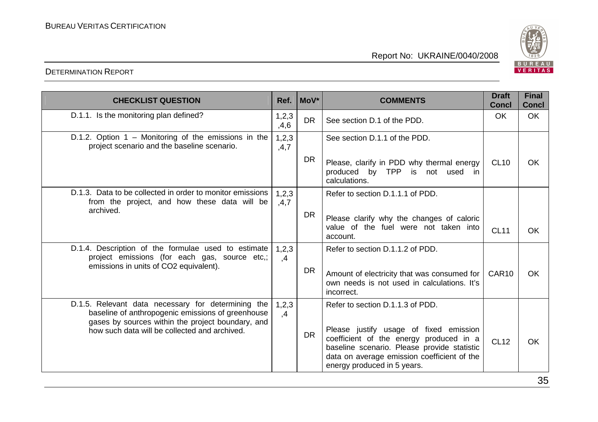

| <b>CHECKLIST QUESTION</b>                                                                                                                      | Ref.          | $Mov^*$   | <b>COMMENTS</b>                                                                                                                                                                                                | <b>Draft</b><br><b>Concl</b> | <b>Final</b><br><b>Concl</b> |
|------------------------------------------------------------------------------------------------------------------------------------------------|---------------|-----------|----------------------------------------------------------------------------------------------------------------------------------------------------------------------------------------------------------------|------------------------------|------------------------------|
| D.1.1. Is the monitoring plan defined?                                                                                                         | 1,2,3<br>,4,6 | <b>DR</b> | See section D.1 of the PDD.                                                                                                                                                                                    | <b>OK</b>                    | <b>OK</b>                    |
| D.1.2. Option $1 -$ Monitoring of the emissions in the<br>project scenario and the baseline scenario.                                          | 1,2,3<br>,4,7 |           | See section D.1.1 of the PDD.                                                                                                                                                                                  |                              |                              |
|                                                                                                                                                |               | <b>DR</b> | Please, clarify in PDD why thermal energy<br>produced by TPP is not used in<br>calculations.                                                                                                                   | <b>CL10</b>                  | OK                           |
| D.1.3. Data to be collected in order to monitor emissions<br>from the project, and how these data will be<br>archived.                         | 1,2,3<br>,4,7 |           | Refer to section D.1.1.1 of PDD.                                                                                                                                                                               |                              |                              |
|                                                                                                                                                |               | <b>DR</b> | Please clarify why the changes of caloric<br>value of the fuel were not taken into<br>account.                                                                                                                 | <b>CL11</b>                  | <b>OK</b>                    |
| D.1.4. Description of the formulae used to estimate<br>project emissions (for each gas, source etc,;<br>emissions in units of CO2 equivalent). | 1,2,3<br>,4   |           | Refer to section D.1.1.2 of PDD.                                                                                                                                                                               |                              |                              |
|                                                                                                                                                |               | <b>DR</b> | Amount of electricity that was consumed for<br>own needs is not used in calculations. It's<br>incorrect.                                                                                                       | CAR <sub>10</sub>            | <b>OK</b>                    |
| D.1.5. Relevant data necessary for determining the<br>baseline of anthropogenic emissions of greenhouse                                        | 1,2,3<br>,4   |           | Refer to section D.1.1.3 of PDD.                                                                                                                                                                               |                              |                              |
| gases by sources within the project boundary, and<br>how such data will be collected and archived.                                             |               | DR.       | Please justify usage of fixed emission<br>coefficient of the energy produced in a<br>baseline scenario. Please provide statistic<br>data on average emission coefficient of the<br>energy produced in 5 years. | <b>CL12</b>                  | OK                           |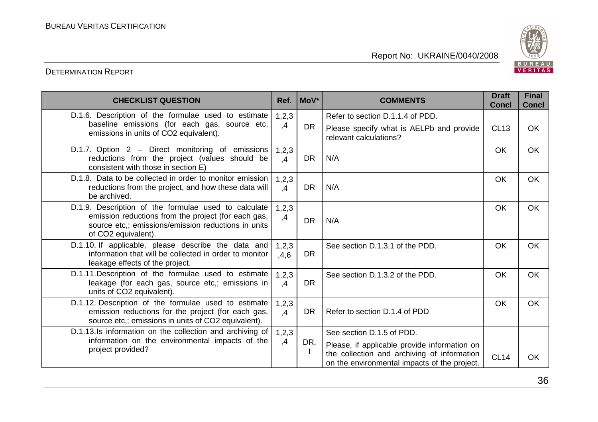

| <b>CHECKLIST QUESTION</b>                                                                                                                                                                 | Ref.                     | MoV*      | <b>COMMENTS</b>                                                                             | <b>Draft</b><br><b>Concl</b> | <b>Final</b><br><b>Concl</b> |
|-------------------------------------------------------------------------------------------------------------------------------------------------------------------------------------------|--------------------------|-----------|---------------------------------------------------------------------------------------------|------------------------------|------------------------------|
| D.1.6. Description of the formulae used to estimate                                                                                                                                       | 1,2,3                    |           | Refer to section D.1.1.4 of PDD.                                                            |                              |                              |
| baseline emissions (for each gas, source etc,<br>emissions in units of CO2 equivalent).                                                                                                   | ,4                       | <b>DR</b> | Please specify what is AELPb and provide<br>relevant calculations?                          | <b>CL13</b>                  | <b>OK</b>                    |
| D.1.7. Option 2 - Direct monitoring of emissions<br>reductions from the project (values should be<br>consistent with those in section E)                                                  | 1,2,3<br>,4              | <b>DR</b> | N/A                                                                                         | <b>OK</b>                    | OK                           |
| D.1.8. Data to be collected in order to monitor emission<br>reductions from the project, and how these data will<br>be archived.                                                          | 1,2,3<br>$\mathcal{A}$   | <b>DR</b> | N/A                                                                                         | <b>OK</b>                    | <b>OK</b>                    |
| D.1.9. Description of the formulae used to calculate<br>emission reductions from the project (for each gas,<br>source etc.; emissions/emission reductions in units<br>of CO2 equivalent). | 1,2,3<br>,4              | <b>DR</b> | N/A                                                                                         | <b>OK</b>                    | <b>OK</b>                    |
| D.1.10. If applicable, please describe the data and<br>information that will be collected in order to monitor<br>leakage effects of the project.                                          | 1,2,3<br>,4,6            | <b>DR</b> | See section D.1.3.1 of the PDD.                                                             | <b>OK</b>                    | OK                           |
| D.1.11. Description of the formulae used to estimate<br>leakage (for each gas, source etc,; emissions in<br>units of CO2 equivalent).                                                     | 1,2,3<br>$\mathcal{A}$   | <b>DR</b> | See section D.1.3.2 of the PDD.                                                             | <b>OK</b>                    | <b>OK</b>                    |
| D.1.12. Description of the formulae used to estimate<br>emission reductions for the project (for each gas,<br>source etc.; emissions in units of CO2 equivalent).                         | 1, 2, 3<br>$\mathcal{A}$ | <b>DR</b> | Refer to section D.1.4 of PDD                                                               | <b>OK</b>                    | OK                           |
| D.1.13.Is information on the collection and archiving of                                                                                                                                  | 1,2,3                    |           | See section D.1.5 of PDD.                                                                   |                              |                              |
| information on the environmental impacts of the<br>project provided?                                                                                                                      | ,4                       | DR,       | Please, if applicable provide information on                                                |                              |                              |
|                                                                                                                                                                                           |                          |           | the collection and archiving of information<br>on the environmental impacts of the project. | <b>CL14</b>                  | <b>OK</b>                    |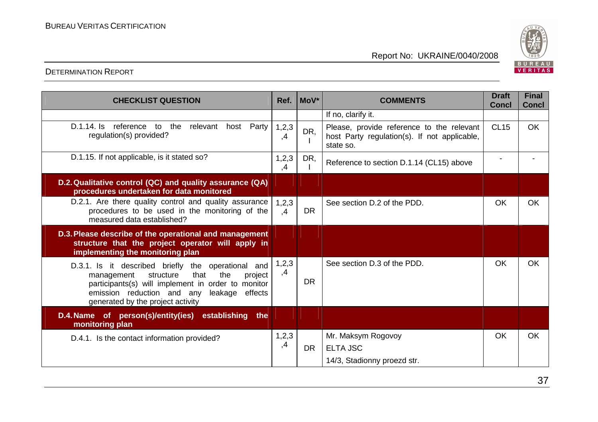

| <b>CHECKLIST QUESTION</b>                                                                                                                                                                                                                           | Ref.          | $Mov^*$   | <b>COMMENTS</b>                                                                                        | <b>Draft</b><br><b>Concl</b> | <b>Final</b><br><b>Concl</b> |
|-----------------------------------------------------------------------------------------------------------------------------------------------------------------------------------------------------------------------------------------------------|---------------|-----------|--------------------------------------------------------------------------------------------------------|------------------------------|------------------------------|
|                                                                                                                                                                                                                                                     |               |           | If no, clarify it.                                                                                     |                              |                              |
| D.1.14. Is reference to the<br>relevant host Party<br>regulation(s) provided?                                                                                                                                                                       | 1,2,3<br>,4   | DR,       | Please, provide reference to the relevant<br>host Party regulation(s). If not applicable,<br>state so. | <b>CL15</b>                  | <b>OK</b>                    |
| D.1.15. If not applicable, is it stated so?                                                                                                                                                                                                         | 1, 2, 3<br>,4 | DR,       | Reference to section D.1.14 (CL15) above                                                               |                              |                              |
| D.2. Qualitative control (QC) and quality assurance (QA)<br>procedures undertaken for data monitored                                                                                                                                                |               |           |                                                                                                        |                              |                              |
| D.2.1. Are there quality control and quality assurance<br>procedures to be used in the monitoring of the<br>measured data established?                                                                                                              | 1,2,3<br>,4   | DR.       | See section D.2 of the PDD.                                                                            | <b>OK</b>                    | <b>OK</b>                    |
| D.3. Please describe of the operational and management<br>structure that the project operator will apply in<br>implementing the monitoring plan                                                                                                     |               |           |                                                                                                        |                              |                              |
| D.3.1. Is it described briefly the operational and<br>that<br>the<br>structure<br>project<br>management<br>participants(s) will implement in order to monitor<br>emission reduction and any leakage<br>effects<br>generated by the project activity | 1, 2, 3<br>,4 | <b>DR</b> | See section D.3 of the PDD.                                                                            | <b>OK</b>                    | <b>OK</b>                    |
| D.4. Name of person(s)/entity(ies)<br>establishing<br>the<br>monitoring plan                                                                                                                                                                        |               |           |                                                                                                        |                              |                              |
| D.4.1. Is the contact information provided?                                                                                                                                                                                                         | 1,2,3         |           | Mr. Maksym Rogovoy                                                                                     | <b>OK</b>                    | <b>OK</b>                    |
|                                                                                                                                                                                                                                                     | ,4            | <b>DR</b> | <b>ELTA JSC</b>                                                                                        |                              |                              |
|                                                                                                                                                                                                                                                     |               |           | 14/3, Stadionny proezd str.                                                                            |                              |                              |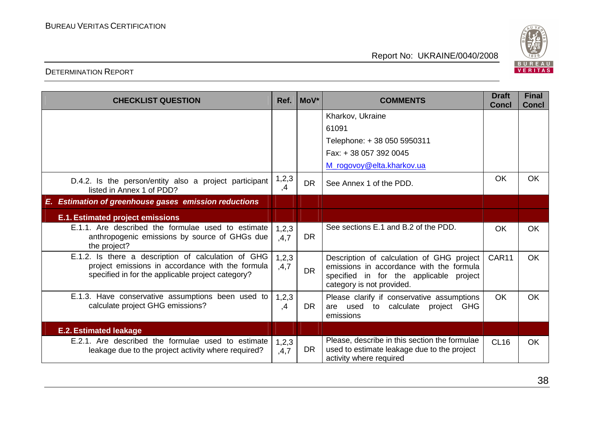

| <b>CHECKLIST QUESTION</b>                                                                                                                                    | Ref.                   | MoV*      | <b>COMMENTS</b>                                                                                                                                               | <b>Draft</b><br><b>Concl</b> | <b>Final</b><br><b>Concl</b> |
|--------------------------------------------------------------------------------------------------------------------------------------------------------------|------------------------|-----------|---------------------------------------------------------------------------------------------------------------------------------------------------------------|------------------------------|------------------------------|
|                                                                                                                                                              |                        |           | Kharkov, Ukraine                                                                                                                                              |                              |                              |
|                                                                                                                                                              |                        |           | 61091                                                                                                                                                         |                              |                              |
|                                                                                                                                                              |                        |           | Telephone: +38 050 5950311                                                                                                                                    |                              |                              |
|                                                                                                                                                              |                        |           | Fax: +38 057 392 0045                                                                                                                                         |                              |                              |
|                                                                                                                                                              |                        |           | M_rogovoy@elta.kharkov.ua                                                                                                                                     |                              |                              |
| D.4.2. Is the person/entity also a project participant<br>listed in Annex 1 of PDD?                                                                          | 1,2,3<br>$\mathcal{A}$ | <b>DR</b> | See Annex 1 of the PDD.                                                                                                                                       | <b>OK</b>                    | <b>OK</b>                    |
| <b>Estimation of greenhouse gases emission reductions</b><br>Е.                                                                                              |                        |           |                                                                                                                                                               |                              |                              |
| <b>E.1. Estimated project emissions</b>                                                                                                                      |                        |           |                                                                                                                                                               |                              |                              |
| E.1.1. Are described the formulae used to estimate<br>anthropogenic emissions by source of GHGs due<br>the project?                                          | 1,2,3<br>,4,7          | <b>DR</b> | See sections E.1 and B.2 of the PDD.                                                                                                                          | <b>OK</b>                    | <b>OK</b>                    |
| E.1.2. Is there a description of calculation of GHG<br>project emissions in accordance with the formula<br>specified in for the applicable project category? | 1,2,3<br>,4,7          | <b>DR</b> | Description of calculation of GHG project<br>emissions in accordance with the formula<br>specified in for the applicable project<br>category is not provided. | CAR11                        | <b>OK</b>                    |
| E.1.3. Have conservative assumptions been used to<br>calculate project GHG emissions?                                                                        | 1,2,3<br>,4            | <b>DR</b> | Please clarify if conservative assumptions<br>are used to calculate project GHG<br>emissions                                                                  | <b>OK</b>                    | <b>OK</b>                    |
| <b>E.2. Estimated leakage</b>                                                                                                                                |                        |           |                                                                                                                                                               |                              |                              |
| E.2.1. Are described the formulae used to estimate<br>leakage due to the project activity where required?                                                    | 1, 2, 3<br>,4,7        | <b>DR</b> | Please, describe in this section the formulae<br>used to estimate leakage due to the project<br>activity where required                                       | <b>CL16</b>                  | <b>OK</b>                    |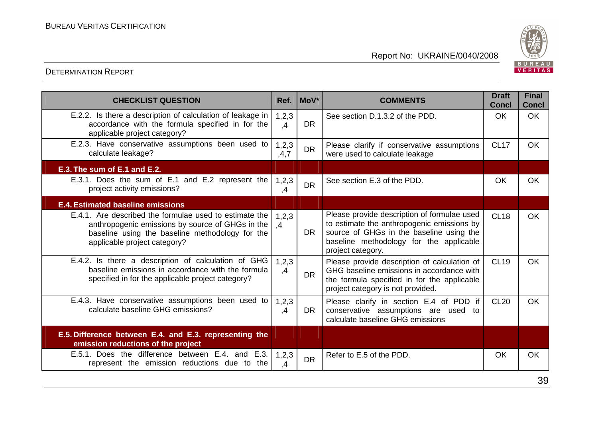

| <b>CHECKLIST QUESTION</b>                                                                                                                                                                     | Ref.            | $Mov^*$   | <b>COMMENTS</b>                                                                                                                                                                                       | <b>Draft</b><br><b>Concl</b> | <b>Final</b><br><b>Concl</b> |
|-----------------------------------------------------------------------------------------------------------------------------------------------------------------------------------------------|-----------------|-----------|-------------------------------------------------------------------------------------------------------------------------------------------------------------------------------------------------------|------------------------------|------------------------------|
| E.2.2. Is there a description of calculation of leakage in<br>accordance with the formula specified in for the<br>applicable project category?                                                | 1,2,3<br>,4     | <b>DR</b> | See section D.1.3.2 of the PDD.                                                                                                                                                                       | <b>OK</b>                    | <b>OK</b>                    |
| E.2.3. Have conservative assumptions been used to<br>calculate leakage?                                                                                                                       | 1, 2, 3<br>,4,7 | <b>DR</b> | Please clarify if conservative assumptions<br>were used to calculate leakage                                                                                                                          | <b>CL17</b>                  | <b>OK</b>                    |
| E.3. The sum of E.1 and E.2.                                                                                                                                                                  |                 |           |                                                                                                                                                                                                       |                              |                              |
| E.3.1. Does the sum of E.1 and E.2 represent the<br>project activity emissions?                                                                                                               | 1,2,3<br>,4     | <b>DR</b> | See section E.3 of the PDD.                                                                                                                                                                           | <b>OK</b>                    | <b>OK</b>                    |
| <b>E.4. Estimated baseline emissions</b>                                                                                                                                                      |                 |           |                                                                                                                                                                                                       |                              |                              |
| E.4.1. Are described the formulae used to estimate the<br>anthropogenic emissions by source of GHGs in the<br>baseline using the baseline methodology for the<br>applicable project category? | 1,2,3<br>,4     | <b>DR</b> | Please provide description of formulae used<br>to estimate the anthropogenic emissions by<br>source of GHGs in the baseline using the<br>baseline methodology for the applicable<br>project category. | <b>CL18</b>                  | <b>OK</b>                    |
| E.4.2. Is there a description of calculation of GHG<br>baseline emissions in accordance with the formula<br>specified in for the applicable project category?                                 | 1,2,3<br>,4     | <b>DR</b> | Please provide description of calculation of<br>GHG baseline emissions in accordance with<br>the formula specified in for the applicable<br>project category is not provided.                         | <b>CL19</b>                  | <b>OK</b>                    |
| E.4.3. Have conservative assumptions been used to<br>calculate baseline GHG emissions?                                                                                                        | 1,2,3<br>,4     | <b>DR</b> | Please clarify in section E.4 of PDD if<br>conservative assumptions are used to<br>calculate baseline GHG emissions                                                                                   | <b>CL20</b>                  | <b>OK</b>                    |
| E.5. Difference between E.4. and E.3. representing the<br>emission reductions of the project                                                                                                  |                 |           |                                                                                                                                                                                                       |                              |                              |
| E.5.1. Does the difference between E.4. and E.3.<br>represent the emission reductions due to the                                                                                              | 1,2,3<br>,4     | <b>DR</b> | Refer to E.5 of the PDD.                                                                                                                                                                              | OK                           | OK                           |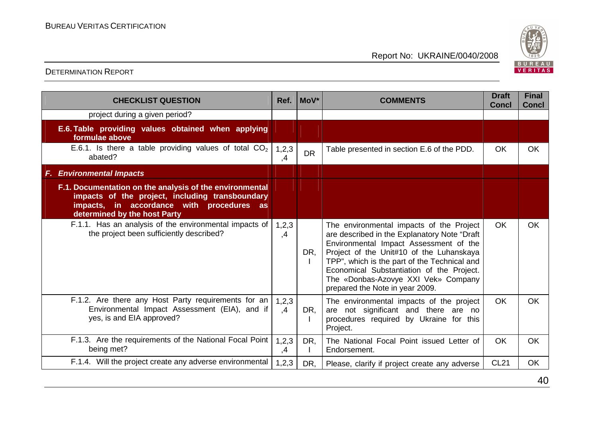

| <b>CHECKLIST QUESTION</b>                                                                                                                                                               | Ref.          | MoV <sup>*</sup> | <b>COMMENTS</b>                                                                                                                                                                                                                                                                                                                                       | <b>Draft</b><br><b>Concl</b> | <b>Final</b><br><b>Concl</b> |
|-----------------------------------------------------------------------------------------------------------------------------------------------------------------------------------------|---------------|------------------|-------------------------------------------------------------------------------------------------------------------------------------------------------------------------------------------------------------------------------------------------------------------------------------------------------------------------------------------------------|------------------------------|------------------------------|
| project during a given period?                                                                                                                                                          |               |                  |                                                                                                                                                                                                                                                                                                                                                       |                              |                              |
| E.6. Table providing values obtained when applying<br>formulae above                                                                                                                    |               |                  |                                                                                                                                                                                                                                                                                                                                                       |                              |                              |
| E.6.1. Is there a table providing values of total $CO2$<br>abated?                                                                                                                      | 1,2,3<br>,4   | <b>DR</b>        | Table presented in section E.6 of the PDD.                                                                                                                                                                                                                                                                                                            | <b>OK</b>                    | <b>OK</b>                    |
| <b>F. Environmental Impacts</b>                                                                                                                                                         |               |                  |                                                                                                                                                                                                                                                                                                                                                       |                              |                              |
| F.1. Documentation on the analysis of the environmental<br>impacts of the project, including transboundary<br>impacts, in accordance with procedures as<br>determined by the host Party |               |                  |                                                                                                                                                                                                                                                                                                                                                       |                              |                              |
| F.1.1. Has an analysis of the environmental impacts of<br>the project been sufficiently described?                                                                                      | 1,2,3<br>,4   | DR,              | The environmental impacts of the Project<br>are described in the Explanatory Note "Draft<br>Environmental Impact Assessment of the<br>Project of the Unit#10 of the Luhanskaya<br>TPP", which is the part of the Technical and<br>Economical Substantiation of the Project.<br>The «Donbas-Azovye XXI Vek» Company<br>prepared the Note in year 2009. | <b>OK</b>                    | <b>OK</b>                    |
| F.1.2. Are there any Host Party requirements for an<br>Environmental Impact Assessment (EIA), and if<br>yes, is and EIA approved?                                                       | 1,2,3<br>,4   | DR,              | The environmental impacts of the project<br>are not significant and there are no<br>procedures required by Ukraine for this<br>Project.                                                                                                                                                                                                               | OK                           | <b>OK</b>                    |
| F.1.3. Are the requirements of the National Focal Point<br>being met?                                                                                                                   | 1, 2, 3<br>,4 | DR,              | The National Focal Point issued Letter of<br>Endorsement.                                                                                                                                                                                                                                                                                             | <b>OK</b>                    | <b>OK</b>                    |
| F.1.4. Will the project create any adverse environmental                                                                                                                                | 1, 2, 3       | DR,              | Please, clarify if project create any adverse                                                                                                                                                                                                                                                                                                         | <b>CL21</b>                  | <b>OK</b>                    |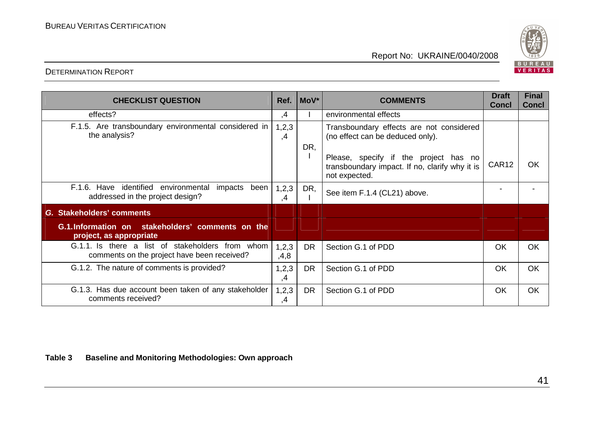

#### DETERMINATION REPORT

| <b>CHECKLIST QUESTION</b>                                                                         | Ref.          | $ $ MoV $*$ | <b>COMMENTS</b>                                                                                          | <b>Draft</b><br><b>Concl</b> | <b>Final</b><br><b>Concl</b> |
|---------------------------------------------------------------------------------------------------|---------------|-------------|----------------------------------------------------------------------------------------------------------|------------------------------|------------------------------|
| effects?                                                                                          | ,4            |             | environmental effects                                                                                    |                              |                              |
| F.1.5. Are transboundary environmental considered in<br>the analysis?                             | 1,2,3<br>,4   | DR,         | Transboundary effects are not considered<br>(no effect can be deduced only).                             |                              |                              |
|                                                                                                   |               |             | Please, specify if the project has no<br>transboundary impact. If no, clarify why it is<br>not expected. | CAR12                        | <b>OK</b>                    |
| F.1.6. Have<br>identified<br>environmental<br>impacts<br>been<br>addressed in the project design? | 1,2,3<br>,4   | DR,         | See item F.1.4 (CL21) above.                                                                             |                              |                              |
| G. Stakeholders' comments                                                                         |               |             |                                                                                                          |                              |                              |
| G.1. Information on stakeholders' comments on the<br>project, as appropriate                      |               |             |                                                                                                          |                              |                              |
| G.1.1. Is there a list of stakeholders from whom<br>comments on the project have been received?   | 1,2,3<br>,4,8 | <b>DR</b>   | Section G.1 of PDD                                                                                       | OK                           | OK                           |
| G.1.2. The nature of comments is provided?                                                        | 1,2,3<br>,4   | <b>DR</b>   | Section G.1 of PDD                                                                                       | <b>OK</b>                    | OK                           |
| G.1.3. Has due account been taken of any stakeholder<br>comments received?                        | 1, 2, 3<br>,4 | <b>DR</b>   | Section G.1 of PDD                                                                                       | <b>OK</b>                    | OK                           |

**Table 3 Baseline and Monitoring Methodologies: Own approach**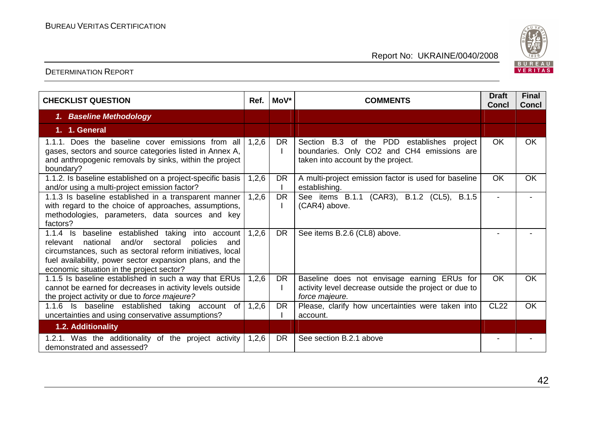

| <b>CHECKLIST QUESTION</b>                                                                                                                                                                                                                                                             | Ref.  | MoV*      | <b>COMMENTS</b>                                                                                                                | <b>Draft</b><br><b>Concl</b> | <b>Final</b><br><b>Concl</b> |
|---------------------------------------------------------------------------------------------------------------------------------------------------------------------------------------------------------------------------------------------------------------------------------------|-------|-----------|--------------------------------------------------------------------------------------------------------------------------------|------------------------------|------------------------------|
| 1. Baseline Methodology                                                                                                                                                                                                                                                               |       |           |                                                                                                                                |                              |                              |
| 1. 1. General                                                                                                                                                                                                                                                                         |       |           |                                                                                                                                |                              |                              |
| 1.1.1. Does the baseline cover emissions from all<br>gases, sectors and source categories listed in Annex A,<br>and anthropogenic removals by sinks, within the project<br>boundary?                                                                                                  | 1,2,6 | <b>DR</b> | Section B.3 of the PDD establishes project<br>boundaries. Only CO2 and CH4 emissions are<br>taken into account by the project. | <b>OK</b>                    | OK                           |
| 1.1.2. Is baseline established on a project-specific basis<br>and/or using a multi-project emission factor?                                                                                                                                                                           | 1,2,6 | <b>DR</b> | A multi-project emission factor is used for baseline<br>establishing.                                                          | <b>OK</b>                    | <b>OK</b>                    |
| 1.1.3 Is baseline established in a transparent manner<br>with regard to the choice of approaches, assumptions,<br>methodologies, parameters, data sources and key<br>factors?                                                                                                         | 1,2,6 | <b>DR</b> | See items B.1.1 (CAR3), B.1.2 (CL5), B.1.5<br>(CAR4) above.                                                                    | $\overline{\phantom{a}}$     |                              |
| 1.1.4 Is baseline established taking into account<br>national<br>and/or sectoral<br>relevant<br>policies<br>and<br>circumstances, such as sectoral reform initiatives, local<br>fuel availability, power sector expansion plans, and the<br>economic situation in the project sector? | 1,2,6 | <b>DR</b> | See items B.2.6 (CL8) above.                                                                                                   |                              |                              |
| 1.1.5 Is baseline established in such a way that ERUs<br>cannot be earned for decreases in activity levels outside<br>the project activity or due to force majeure?                                                                                                                   | 1,2,6 | <b>DR</b> | Baseline does not envisage earning ERUs for<br>activity level decrease outside the project or due to<br>force majeure.         | <b>OK</b>                    | <b>OK</b>                    |
| 1.1.6 Is baseline established taking account of<br>uncertainties and using conservative assumptions?                                                                                                                                                                                  | 1,2,6 | <b>DR</b> | Please, clarify how uncertainties were taken into<br>account.                                                                  | <b>CL22</b>                  | <b>OK</b>                    |
| <b>1.2. Additionality</b>                                                                                                                                                                                                                                                             |       |           |                                                                                                                                |                              |                              |
| 1.2.1. Was the additionality of the project activity<br>demonstrated and assessed?                                                                                                                                                                                                    | 1,2,6 | DR.       | See section B.2.1 above                                                                                                        |                              |                              |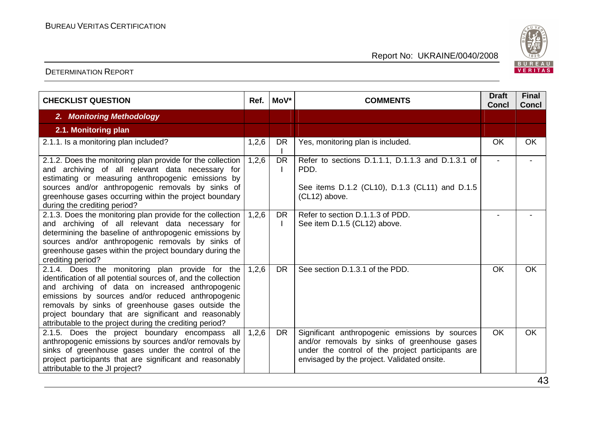

| <b>CHECKLIST QUESTION</b>                                                                                                                                                                                                                                                                                                                                                                           | Ref.  | MoV*      | <b>COMMENTS</b>                                                                                                                                                                                    | <b>Draft</b><br><b>Concl</b> | <b>Final</b><br><b>Concl</b> |
|-----------------------------------------------------------------------------------------------------------------------------------------------------------------------------------------------------------------------------------------------------------------------------------------------------------------------------------------------------------------------------------------------------|-------|-----------|----------------------------------------------------------------------------------------------------------------------------------------------------------------------------------------------------|------------------------------|------------------------------|
| 2. Monitoring Methodology                                                                                                                                                                                                                                                                                                                                                                           |       |           |                                                                                                                                                                                                    |                              |                              |
| 2.1. Monitoring plan                                                                                                                                                                                                                                                                                                                                                                                |       |           |                                                                                                                                                                                                    |                              |                              |
| 2.1.1. Is a monitoring plan included?                                                                                                                                                                                                                                                                                                                                                               | 1,2,6 | <b>DR</b> | Yes, monitoring plan is included.                                                                                                                                                                  | <b>OK</b>                    | <b>OK</b>                    |
| 2.1.2. Does the monitoring plan provide for the collection<br>and archiving of all relevant data necessary for<br>estimating or measuring anthropogenic emissions by<br>sources and/or anthropogenic removals by sinks of<br>greenhouse gases occurring within the project boundary<br>during the crediting period?                                                                                 | 1,2,6 | <b>DR</b> | Refer to sections D.1.1.1, D.1.1.3 and D.1.3.1 of<br>PDD.<br>See items D.1.2 (CL10), D.1.3 (CL11) and D.1.5<br>(CL12) above.                                                                       | $\overline{\phantom{a}}$     |                              |
| 2.1.3. Does the monitoring plan provide for the collection<br>and archiving of all relevant data necessary for<br>determining the baseline of anthropogenic emissions by<br>sources and/or anthropogenic removals by sinks of<br>greenhouse gases within the project boundary during the<br>crediting period?                                                                                       | 1,2,6 | <b>DR</b> | Refer to section D.1.1.3 of PDD.<br>See item D.1.5 (CL12) above.                                                                                                                                   |                              |                              |
| 2.1.4. Does the monitoring plan provide for the<br>identification of all potential sources of, and the collection<br>and archiving of data on increased anthropogenic<br>emissions by sources and/or reduced anthropogenic<br>removals by sinks of greenhouse gases outside the<br>project boundary that are significant and reasonably<br>attributable to the project during the crediting period? | 1,2,6 | <b>DR</b> | See section D.1.3.1 of the PDD.                                                                                                                                                                    | OK                           | <b>OK</b>                    |
| 2.1.5. Does the project boundary encompass all<br>anthropogenic emissions by sources and/or removals by<br>sinks of greenhouse gases under the control of the<br>project participants that are significant and reasonably<br>attributable to the JI project?                                                                                                                                        | 1,2,6 | <b>DR</b> | Significant anthropogenic emissions by sources<br>and/or removals by sinks of greenhouse gases<br>under the control of the project participants are<br>envisaged by the project. Validated onsite. | <b>OK</b>                    | OK.                          |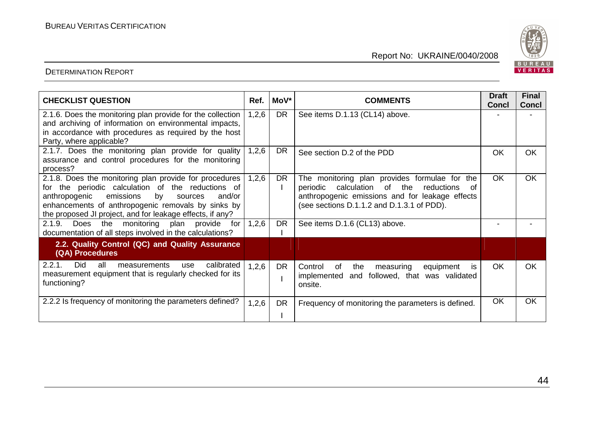

| <b>CHECKLIST QUESTION</b>                                                                                                                                                                                                                                                               | Ref.  | MoV*      | <b>COMMENTS</b>                                                                                                                                                                                               | <b>Draft</b> | <b>Final</b> |
|-----------------------------------------------------------------------------------------------------------------------------------------------------------------------------------------------------------------------------------------------------------------------------------------|-------|-----------|---------------------------------------------------------------------------------------------------------------------------------------------------------------------------------------------------------------|--------------|--------------|
|                                                                                                                                                                                                                                                                                         |       |           |                                                                                                                                                                                                               | <b>Concl</b> | <b>Concl</b> |
| 2.1.6. Does the monitoring plan provide for the collection<br>and archiving of information on environmental impacts,<br>in accordance with procedures as required by the host<br>Party, where applicable?                                                                               | 1,2,6 | <b>DR</b> | See items D.1.13 (CL14) above.                                                                                                                                                                                |              |              |
| 2.1.7. Does the monitoring plan provide for quality<br>assurance and control procedures for the monitoring<br>process?                                                                                                                                                                  | 1,2,6 | <b>DR</b> | See section D.2 of the PDD                                                                                                                                                                                    | <b>OK</b>    | OK           |
| 2.1.8. Does the monitoring plan provide for procedures<br>for the periodic calculation of the reductions of<br>emissions<br>by<br>anthropogenic<br>and/or<br>sources<br>enhancements of anthropogenic removals by sinks by<br>the proposed JI project, and for leakage effects, if any? | 1,2,6 | <b>DR</b> | The monitoring plan provides formulae for<br>the<br>calculation<br>of<br>the<br>periodic<br>reductions<br>0f<br>anthropogenic emissions and for leakage effects<br>(see sections D.1.1.2 and D.1.3.1 of PDD). | <b>OK</b>    | OK           |
| 2.1.9. Does<br>the monitoring<br>plan provide<br>for<br>documentation of all steps involved in the calculations?                                                                                                                                                                        | 1,2,6 | <b>DR</b> | See items D.1.6 (CL13) above.                                                                                                                                                                                 |              |              |
| 2.2. Quality Control (QC) and Quality Assurance<br>(QA) Procedures                                                                                                                                                                                                                      |       |           |                                                                                                                                                                                                               |              |              |
| 2.2.1.<br><b>Did</b><br>all<br>calibrated<br>measurements<br>use<br>measurement equipment that is regularly checked for its<br>functioning?                                                                                                                                             | 1,2,6 | <b>DR</b> | Control<br>the<br>measuring<br>of<br>equipment<br><b>is</b><br>implemented<br>followed, that was validated<br>and<br>onsite.                                                                                  | <b>OK</b>    | <b>OK</b>    |
| 2.2.2 Is frequency of monitoring the parameters defined?                                                                                                                                                                                                                                | 1,2,6 | <b>DR</b> | Frequency of monitoring the parameters is defined.                                                                                                                                                            | OK           | OK           |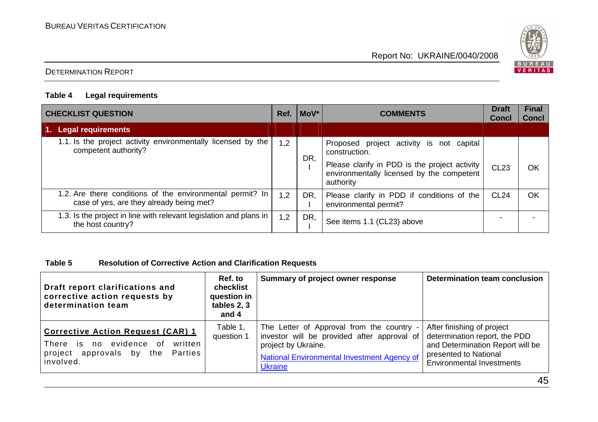

## DETERMINATION REPORT

#### **Table 4 Legal requirements**

| <b>CHECKLIST QUESTION</b>                                                                             |     | Ref. MoV* | <b>COMMENTS</b>                                                                                         | <b>Draft</b><br><b>Concl</b> | <b>Final</b><br><b>Concl</b> |
|-------------------------------------------------------------------------------------------------------|-----|-----------|---------------------------------------------------------------------------------------------------------|------------------------------|------------------------------|
| <b>Legal requirements</b><br>1.                                                                       |     |           |                                                                                                         |                              |                              |
| 1.1. Is the project activity environmentally licensed by the<br>competent authority?                  | 1,2 | DR,       | Proposed project activity is not capital<br>construction.                                               |                              |                              |
|                                                                                                       |     |           | Please clarify in PDD is the project activity<br>environmentally licensed by the competent<br>authority | <b>CL23</b>                  | OK                           |
| 1.2. Are there conditions of the environmental permit? In<br>case of yes, are they already being met? | 1,2 | DR,       | Please clarify in PDD if conditions of the<br>environmental permit?                                     | <b>CL24</b>                  | OK                           |
| 1.3. Is the project in line with relevant legislation and plans in<br>the host country?               | 1,2 | DR,       | See items 1.1 (CL23) above                                                                              |                              |                              |

## **Table 5 Resolution of Corrective Action and Clarification Requests**

| Draft report clarifications and<br>corrective action requests by<br>determination team                                        | Ref. to<br>checklist<br>question in<br>tables 2, 3<br>and 4 | Summary of project owner response                                                                                                                                                | Determination team conclusion                                                                                                                                |
|-------------------------------------------------------------------------------------------------------------------------------|-------------------------------------------------------------|----------------------------------------------------------------------------------------------------------------------------------------------------------------------------------|--------------------------------------------------------------------------------------------------------------------------------------------------------------|
| Corrective Action Request (CAR) 1<br>There is no evidence<br>of<br>written<br>project approvals by the Parties<br>l involved. | Table 1,<br>question 1                                      | The Letter of Approval from the country -<br>investor will be provided after approval of<br>project by Ukraine.<br>National Environmental Investment Agency of<br><b>Ukraine</b> | After finishing of project<br>determination report, the PDD<br>and Determination Report will be<br>presented to National<br><b>Environmental Investments</b> |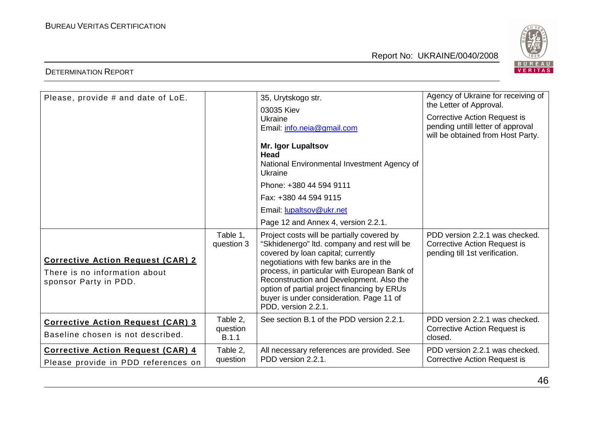

| Please, provide # and date of LoE.                                                                 | Table 1.<br>question 3        | 35, Urytskogo str.<br>03035 Kiev<br>Ukraine<br>Email: info.neia@gmail.com<br><b>Mr. Igor Lupaltsov</b><br><b>Head</b><br>National Environmental Investment Agency of<br>Ukraine<br>Phone: +380 44 594 9111<br>Fax: +380 44 594 9115<br>Email: lupaltsov@ukr.net<br>Page 12 and Annex 4, version 2.2.1.<br>Project costs will be partially covered by<br>"Skhidenergo" Itd. company and rest will be | Agency of Ukraine for receiving of<br>the Letter of Approval.<br><b>Corrective Action Request is</b><br>pending untill letter of approval<br>will be obtained from Host Party.<br>PDD version 2.2.1 was checked.<br><b>Corrective Action Request is</b> |
|----------------------------------------------------------------------------------------------------|-------------------------------|-----------------------------------------------------------------------------------------------------------------------------------------------------------------------------------------------------------------------------------------------------------------------------------------------------------------------------------------------------------------------------------------------------|---------------------------------------------------------------------------------------------------------------------------------------------------------------------------------------------------------------------------------------------------------|
| <b>Corrective Action Request (CAR) 2</b><br>There is no information about<br>sponsor Party in PDD. |                               | covered by loan capital; currently<br>negotiations with few banks are in the<br>process, in particular with European Bank of<br>Reconstruction and Development. Also the<br>option of partial project financing by ERUs<br>buyer is under consideration. Page 11 of<br>PDD, version 2.2.1.                                                                                                          | pending till 1st verification.                                                                                                                                                                                                                          |
| <b>Corrective Action Request (CAR) 3</b><br>Baseline chosen is not described.                      | Table 2,<br>question<br>B.1.1 | See section B.1 of the PDD version 2.2.1.                                                                                                                                                                                                                                                                                                                                                           | PDD version 2.2.1 was checked.<br><b>Corrective Action Request is</b><br>closed.                                                                                                                                                                        |
| <b>Corrective Action Request (CAR) 4</b><br>Please provide in PDD references on                    | Table 2,<br>question          | All necessary references are provided. See<br>PDD version 2.2.1.                                                                                                                                                                                                                                                                                                                                    | PDD version 2.2.1 was checked.<br>Corrective Action Request is                                                                                                                                                                                          |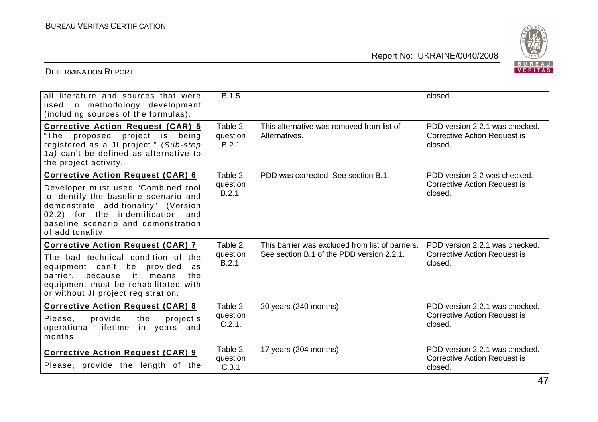

| all literature and sources that were<br>used in methodology development<br>(including sources of the formulas).                                                                                                                                                | <b>B.1.5</b>                   |                                                                                               | closed.                                                                          |
|----------------------------------------------------------------------------------------------------------------------------------------------------------------------------------------------------------------------------------------------------------------|--------------------------------|-----------------------------------------------------------------------------------------------|----------------------------------------------------------------------------------|
| <b>Corrective Action Request (CAR) 5</b><br>project is being<br>"The proposed<br>registered as a JI project." (Sub-step<br>1a) can't be defined as alternative to<br>the project activity.                                                                     | Table 2.<br>question<br>B.2.1  | This alternative was removed from list of<br>Alternatives.                                    | PDD version 2.2.1 was checked.<br><b>Corrective Action Request is</b><br>closed. |
| <b>Corrective Action Request (CAR) 6</b><br>Developer must used "Combined tool<br>to identify the baseline scenario and<br>demonstrate additionality" (Version<br>02.2) for the indentification and<br>baseline scenario and demonstration<br>of additonality. | Table 2,<br>question<br>B.2.1. | PDD was corrected. See section B.1.                                                           | PDD version 2.2 was checked.<br><b>Corrective Action Request is</b><br>closed.   |
| <b>Corrective Action Request (CAR) 7</b><br>The bad technical condition of the<br>equipment can't be provided<br>as<br>barrier,<br>because<br>it it<br>means<br>the<br>equipment must be rehabilitated with<br>or without JI project registration.             | Table 2.<br>question<br>B.2.1. | This barrier was excluded from list of barriers.<br>See section B.1 of the PDD version 2.2.1. | PDD version 2.2.1 was checked.<br><b>Corrective Action Request is</b><br>closed. |
| <b>Corrective Action Request (CAR) 8</b><br>Please,<br>provide<br>the<br>project's<br>operational lifetime in years and<br>months                                                                                                                              | Table 2.<br>question<br>C.2.1. | 20 years (240 months)                                                                         | PDD version 2.2.1 was checked.<br><b>Corrective Action Request is</b><br>closed. |
| <b>Corrective Action Request (CAR) 9</b><br>Please, provide the length of the                                                                                                                                                                                  | Table 2.<br>question<br>C.3.1  | 17 years (204 months)                                                                         | PDD version 2.2.1 was checked.<br><b>Corrective Action Request is</b><br>closed. |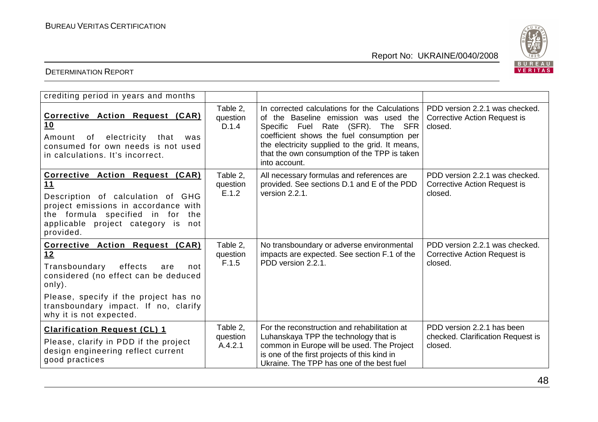

| crediting period in years and months                                                                                                                                                                                                          |                                 |                                                                                                                                                                                                                                                                                                |                                                                                  |
|-----------------------------------------------------------------------------------------------------------------------------------------------------------------------------------------------------------------------------------------------|---------------------------------|------------------------------------------------------------------------------------------------------------------------------------------------------------------------------------------------------------------------------------------------------------------------------------------------|----------------------------------------------------------------------------------|
| Corrective Action Request (CAR)<br>10<br>of<br>electricity<br>that<br>Amount<br>was<br>consumed for own needs is not used<br>in calculations. It's incorrect.                                                                                 | Table 2,<br>question<br>D.1.4   | In corrected calculations for the Calculations<br>of the Baseline emission was used the<br>Specific Fuel Rate (SFR). The SFR<br>coefficient shows the fuel consumption per<br>the electricity supplied to the grid. It means,<br>that the own consumption of the TPP is taken<br>into account. | PDD version 2.2.1 was checked.<br>Corrective Action Request is<br>closed.        |
| Corrective Action Request (CAR)<br>11<br>Description of calculation of GHG<br>project emissions in accordance with<br>the formula specified in for<br>the<br>applicable project category is not<br>provided.                                  | Table 2,<br>question<br>E.1.2   | All necessary formulas and references are<br>provided. See sections D.1 and E of the PDD<br>version 2.2.1.                                                                                                                                                                                     | PDD version 2.2.1 was checked.<br><b>Corrective Action Request is</b><br>closed. |
| Corrective Action Request (CAR)<br>12<br>Transboundary<br>effects<br>not<br>are<br>considered (no effect can be deduced<br>only).<br>Please, specify if the project has no<br>transboundary impact. If no, clarify<br>why it is not expected. | Table 2,<br>question<br>F.1.5   | No transboundary or adverse environmental<br>impacts are expected. See section F.1 of the<br>PDD version 2.2.1.                                                                                                                                                                                | PDD version 2.2.1 was checked.<br><b>Corrective Action Request is</b><br>closed. |
| <b>Clarification Request (CL) 1</b><br>Please, clarify in PDD if the project<br>design engineering reflect current<br>good practices                                                                                                          | Table 2.<br>question<br>A.4.2.1 | For the reconstruction and rehabilitation at<br>Luhanskaya TPP the technology that is<br>common in Europe will be used. The Project<br>is one of the first projects of this kind in<br>Ukraine. The TPP has one of the best fuel                                                               | PDD version 2.2.1 has been<br>checked. Clarification Request is<br>closed.       |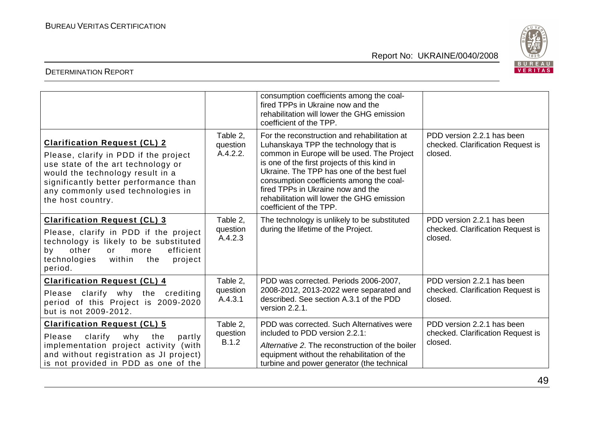

|                                                                                                                                                                                                                                                           |                                  | consumption coefficients among the coal-<br>fired TPPs in Ukraine now and the<br>rehabilitation will lower the GHG emission<br>coefficient of the TPP.                                                                                                                                                                                                                                     |                                                                            |
|-----------------------------------------------------------------------------------------------------------------------------------------------------------------------------------------------------------------------------------------------------------|----------------------------------|--------------------------------------------------------------------------------------------------------------------------------------------------------------------------------------------------------------------------------------------------------------------------------------------------------------------------------------------------------------------------------------------|----------------------------------------------------------------------------|
| <b>Clarification Request (CL) 2</b><br>Please, clarify in PDD if the project<br>use state of the art technology or<br>would the technology result in a<br>significantly better performance than<br>any commonly used technologies in<br>the host country. | Table 2.<br>question<br>A.4.2.2. | For the reconstruction and rehabilitation at<br>Luhanskaya TPP the technology that is<br>common in Europe will be used. The Project<br>is one of the first projects of this kind in<br>Ukraine. The TPP has one of the best fuel<br>consumption coefficients among the coal-<br>fired TPPs in Ukraine now and the<br>rehabilitation will lower the GHG emission<br>coefficient of the TPP. | PDD version 2.2.1 has been<br>checked. Clarification Request is<br>closed. |
| <b>Clarification Request (CL) 3</b><br>Please, clarify in PDD if the project<br>technology is likely to be substituted<br>efficient<br>other<br>by<br>or<br>more<br>within<br>technologies<br>the<br>project<br>period.                                   | Table 2,<br>question<br>A.4.2.3  | The technology is unlikely to be substituted<br>during the lifetime of the Project.                                                                                                                                                                                                                                                                                                        | PDD version 2.2.1 has been<br>checked. Clarification Request is<br>closed. |
| <b>Clarification Request (CL) 4</b><br>Please clarify why the crediting<br>period of this Project is 2009-2020<br>but is not 2009-2012.                                                                                                                   | Table 2,<br>question<br>A.4.3.1  | PDD was corrected. Periods 2006-2007,<br>2008-2012, 2013-2022 were separated and<br>described. See section A.3.1 of the PDD<br>version 2.2.1.                                                                                                                                                                                                                                              | PDD version 2.2.1 has been<br>checked. Clarification Request is<br>closed. |
| <b>Clarification Request (CL) 5</b><br>Please<br>clarify<br>why<br>the<br>partly<br>implementation project activity (with<br>and without registration as JI project)<br>is not provided in PDD as one of the                                              | Table 2.<br>question<br>B.1.2    | PDD was corrected. Such Alternatives were<br>included to PDD version 2.2.1:<br>Alternative 2. The reconstruction of the boiler<br>equipment without the rehabilitation of the<br>turbine and power generator (the technical                                                                                                                                                                | PDD version 2.2.1 has been<br>checked. Clarification Request is<br>closed. |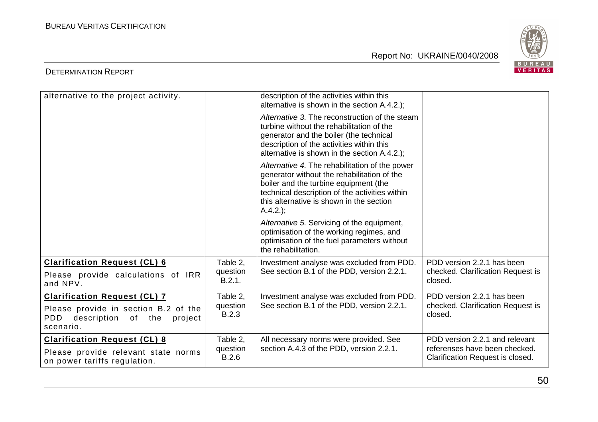

| alternative to the project activity.                                                                                             |                                      | description of the activities within this<br>alternative is shown in the section A.4.2.);                                                                                                                                                           |                                                                                                     |
|----------------------------------------------------------------------------------------------------------------------------------|--------------------------------------|-----------------------------------------------------------------------------------------------------------------------------------------------------------------------------------------------------------------------------------------------------|-----------------------------------------------------------------------------------------------------|
|                                                                                                                                  |                                      | Alternative 3. The reconstruction of the steam<br>turbine without the rehabilitation of the<br>generator and the boiler (the technical<br>description of the activities within this<br>alternative is shown in the section A.4.2.);                 |                                                                                                     |
|                                                                                                                                  |                                      | Alternative 4. The rehabilitation of the power<br>generator without the rehabilitation of the<br>boiler and the turbine equipment (the<br>technical description of the activities within<br>this alternative is shown in the section<br>$A.4.2$ .); |                                                                                                     |
|                                                                                                                                  |                                      | Alternative 5. Servicing of the equipment,<br>optimisation of the working regimes, and<br>optimisation of the fuel parameters without<br>the rehabilitation.                                                                                        |                                                                                                     |
| <b>Clarification Request (CL) 6</b><br>Please provide calculations of IRR<br>and NPV.                                            | Table 2,<br>question<br>B.2.1.       | Investment analyse was excluded from PDD.<br>See section B.1 of the PDD, version 2.2.1.                                                                                                                                                             | PDD version 2.2.1 has been<br>checked. Clarification Request is<br>closed.                          |
| <b>Clarification Request (CL) 7</b><br>Please provide in section B.2 of the<br>PDD<br>description of the<br>project<br>scenario. | Table 2,<br>question<br><b>B.2.3</b> | Investment analyse was excluded from PDD.<br>See section B.1 of the PDD, version 2.2.1.                                                                                                                                                             | PDD version 2.2.1 has been<br>checked. Clarification Request is<br>closed.                          |
| <b>Clarification Request (CL) 8</b><br>Please provide relevant state norms<br>on power tariffs regulation.                       | Table 2,<br>question<br>B.2.6        | All necessary norms were provided. See<br>section A.4.3 of the PDD, version 2.2.1.                                                                                                                                                                  | PDD version 2.2.1 and relevant<br>referenses have been checked.<br>Clarification Request is closed. |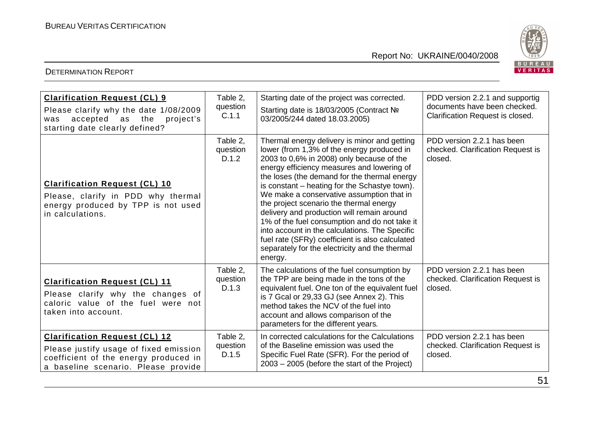



| <b>Clarification Request (CL) 9</b><br>Please clarify why the date 1/08/2009<br>accepted<br>as<br>the<br>project's<br>was<br>starting date clearly defined?    | Table 2,<br>question<br>C.1.1 | Starting date of the project was corrected.<br>Starting date is 18/03/2005 (Contract Nº<br>03/2005/244 dated 18.03.2005)                                                                                                                                                                                                                                                                                                                                                                                                                                                                                                                        | PDD version 2.2.1 and supportig<br>documents have been checked.<br>Clarification Request is closed. |
|----------------------------------------------------------------------------------------------------------------------------------------------------------------|-------------------------------|-------------------------------------------------------------------------------------------------------------------------------------------------------------------------------------------------------------------------------------------------------------------------------------------------------------------------------------------------------------------------------------------------------------------------------------------------------------------------------------------------------------------------------------------------------------------------------------------------------------------------------------------------|-----------------------------------------------------------------------------------------------------|
| <b>Clarification Request (CL) 10</b><br>Please, clarify in PDD why thermal<br>energy produced by TPP is not used<br>in calculations.                           | Table 2.<br>question<br>D.1.2 | Thermal energy delivery is minor and getting<br>lower (from 1,3% of the energy produced in<br>2003 to 0,6% in 2008) only because of the<br>energy efficiency measures and lowering of<br>the loses (the demand for the thermal energy<br>is constant – heating for the Schastye town).<br>We make a conservative assumption that in<br>the project scenario the thermal energy<br>delivery and production will remain around<br>1% of the fuel consumption and do not take it<br>into account in the calculations. The Specific<br>fuel rate (SFRy) coefficient is also calculated<br>separately for the electricity and the thermal<br>energy. | PDD version 2.2.1 has been<br>checked. Clarification Request is<br>closed.                          |
| <b>Clarification Request (CL) 11</b><br>Please clarify why the changes of<br>caloric value of the fuel were not<br>taken into account.                         | Table 2,<br>question<br>D.1.3 | The calculations of the fuel consumption by<br>the TPP are being made in the tons of the<br>equivalent fuel. One ton of the equivalent fuel<br>is 7 Gcal or 29,33 GJ (see Annex 2). This<br>method takes the NCV of the fuel into<br>account and allows comparison of the<br>parameters for the different years.                                                                                                                                                                                                                                                                                                                                | PDD version 2.2.1 has been<br>checked. Clarification Request is<br>closed.                          |
| <b>Clarification Request (CL) 12</b><br>Please justify usage of fixed emission<br>coefficient of the energy produced in<br>a baseline scenario. Please provide | Table 2,<br>question<br>D.1.5 | In corrected calculations for the Calculations<br>of the Baseline emission was used the<br>Specific Fuel Rate (SFR). For the period of<br>$2003 - 2005$ (before the start of the Project)                                                                                                                                                                                                                                                                                                                                                                                                                                                       | PDD version 2.2.1 has been<br>checked. Clarification Request is<br>closed.                          |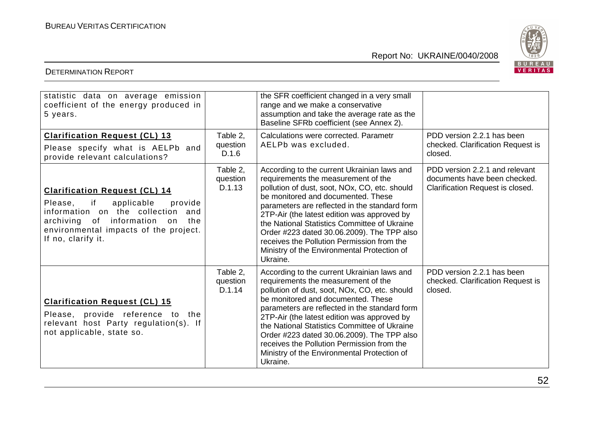

#### DETERMINATION REPORT

| statistic data on average emission<br>coefficient of the energy produced in<br>5 years.                                                                                                                                     |                                | the SFR coefficient changed in a very small<br>range and we make a conservative<br>assumption and take the average rate as the<br>Baseline SFRb coefficient (see Annex 2).                                                                                                                                                                                                                                                                                                       |                                                                                                    |
|-----------------------------------------------------------------------------------------------------------------------------------------------------------------------------------------------------------------------------|--------------------------------|----------------------------------------------------------------------------------------------------------------------------------------------------------------------------------------------------------------------------------------------------------------------------------------------------------------------------------------------------------------------------------------------------------------------------------------------------------------------------------|----------------------------------------------------------------------------------------------------|
| <b>Clarification Request (CL) 13</b><br>Please specify what is AELPb and<br>provide relevant calculations?                                                                                                                  | Table 2,<br>question<br>D.1.6  | Calculations were corrected. Parametr<br>AELPb was excluded.                                                                                                                                                                                                                                                                                                                                                                                                                     | PDD version 2.2.1 has been<br>checked. Clarification Request is<br>closed.                         |
| <b>Clarification Request (CL) 14</b><br>if<br>applicable<br>Please,<br>provide<br>information on the collection<br>and<br>archiving of information on<br>the<br>environmental impacts of the project.<br>If no, clarify it. | Table 2,<br>question<br>D.1.13 | According to the current Ukrainian laws and<br>requirements the measurement of the<br>pollution of dust, soot, NOx, CO, etc. should<br>be monitored and documented. These<br>parameters are reflected in the standard form<br>2TP-Air (the latest edition was approved by<br>the National Statistics Committee of Ukraine<br>Order #223 dated 30.06.2009). The TPP also<br>receives the Pollution Permission from the<br>Ministry of the Environmental Protection of<br>Ukraine. | PDD version 2.2.1 and relevant<br>documents have been checked.<br>Clarification Request is closed. |
| <b>Clarification Request (CL) 15</b><br>Please, provide reference to the<br>relevant host Party regulation(s). If<br>not applicable, state so.                                                                              | Table 2.<br>question<br>D.1.14 | According to the current Ukrainian laws and<br>requirements the measurement of the<br>pollution of dust, soot, NOx, CO, etc. should<br>be monitored and documented. These<br>parameters are reflected in the standard form<br>2TP-Air (the latest edition was approved by<br>the National Statistics Committee of Ukraine<br>Order #223 dated 30.06.2009). The TPP also<br>receives the Pollution Permission from the<br>Ministry of the Environmental Protection of<br>Ukraine. | PDD version 2.2.1 has been<br>checked. Clarification Request is<br>closed.                         |

# Report No: UKRAINE/0040/2008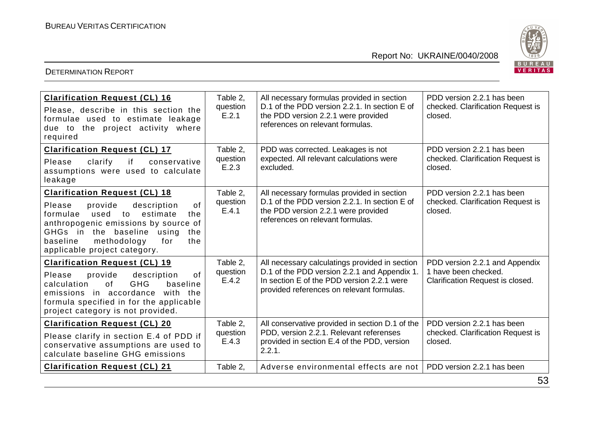

| <b>Clarification Request (CL) 16</b><br>Please, describe in this section the<br>formulae used to estimate leakage<br>due to the project activity where<br>required                                                                                                                   | Table 2,<br>question<br>E.2.1 | All necessary formulas provided in section<br>D.1 of the PDD version 2.2.1. In section E of<br>the PDD version 2.2.1 were provided<br>references on relevant formulas.                    | PDD version 2.2.1 has been<br>checked. Clarification Request is<br>closed.                 |
|--------------------------------------------------------------------------------------------------------------------------------------------------------------------------------------------------------------------------------------------------------------------------------------|-------------------------------|-------------------------------------------------------------------------------------------------------------------------------------------------------------------------------------------|--------------------------------------------------------------------------------------------|
| <b>Clarification Request (CL) 17</b><br>clarify<br>if<br>Please<br>conservative<br>assumptions were used to calculate<br>leakage                                                                                                                                                     | Table 2,<br>question<br>E.2.3 | PDD was corrected. Leakages is not<br>expected. All relevant calculations were<br>excluded.                                                                                               | PDD version 2.2.1 has been<br>checked. Clarification Request is<br>closed.                 |
| <b>Clarification Request (CL) 18</b><br>provide<br>of<br>Please<br>description<br>formulae<br>used<br>estimate<br>to<br>the<br>anthropogenic emissions by source of<br>GHGs in the baseline<br>using<br>the<br>baseline<br>methodology<br>for<br>the<br>applicable project category. | Table 2,<br>question<br>E.4.1 | All necessary formulas provided in section<br>D.1 of the PDD version 2.2.1. In section E of<br>the PDD version 2.2.1 were provided<br>references on relevant formulas.                    | PDD version 2.2.1 has been<br>checked. Clarification Request is<br>closed.                 |
| <b>Clarification Request (CL) 19</b><br>provide<br>of<br>Please<br>description<br>of<br><b>GHG</b><br>baseline<br>calculation<br>emissions in accordance<br>with the<br>formula specified in for the applicable<br>project category is not provided.                                 | Table 2,<br>question<br>E.4.2 | All necessary calculatings provided in section<br>D.1 of the PDD version 2.2.1 and Appendix 1.<br>In section E of the PDD version 2.2.1 were<br>provided references on relevant formulas. | PDD version 2.2.1 and Appendix<br>1 have been checked.<br>Clarification Request is closed. |
| <b>Clarification Request (CL) 20</b><br>Please clarify in section E.4 of PDD if<br>conservative assumptions are used to<br>calculate baseline GHG emissions                                                                                                                          | Table 2.<br>question<br>E.4.3 | All conservative provided in section D.1 of the<br>PDD, version 2.2.1. Relevant referenses<br>provided in section E.4 of the PDD, version<br>2.2.1.                                       | PDD version 2.2.1 has been<br>checked. Clarification Request is<br>closed.                 |
| <b>Clarification Request (CL) 21</b>                                                                                                                                                                                                                                                 | Table 2.                      | Adverse environmental effects are not                                                                                                                                                     | PDD version 2.2.1 has been<br>$\sim$                                                       |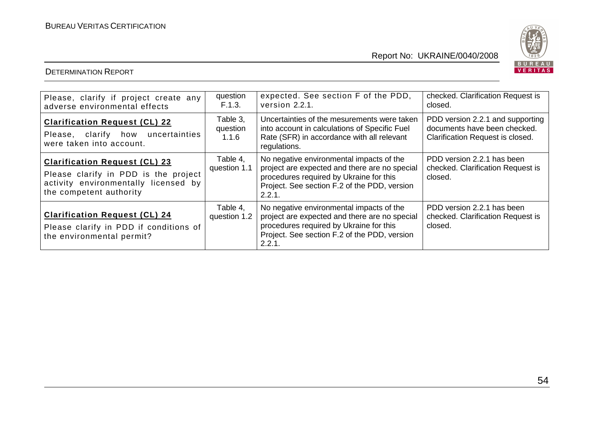

DETERMINATION REPORT

# Report No: UKRAINE/0040/2008

| Please, clarify if project create any<br>adverse environmental effects                                                                          | question<br>F.1.3.            | expected. See section F of the PDD,<br>version 2.2.1.                                                                                                                                          | checked. Clarification Request is<br>closed.                                                         |
|-------------------------------------------------------------------------------------------------------------------------------------------------|-------------------------------|------------------------------------------------------------------------------------------------------------------------------------------------------------------------------------------------|------------------------------------------------------------------------------------------------------|
| <b>Clarification Request (CL) 22</b><br>Please, clarify how uncertainties<br>were taken into account.                                           | Table 3,<br>question<br>1.1.6 | Uncertainties of the mesurements were taken<br>into account in calculations of Specific Fuel<br>Rate (SFR) in accordance with all relevant<br>regulations.                                     | PDD version 2.2.1 and supporting<br>documents have been checked.<br>Clarification Request is closed. |
| <b>Clarification Request (CL) 23</b><br>Please clarify in PDD is the project<br>activity environmentally licensed by<br>the competent authority | Table 4.<br>question 1.1      | No negative environmental impacts of the<br>project are expected and there are no special<br>procedures required by Ukraine for this<br>Project. See section F.2 of the PDD, version<br>2.2.1. | PDD version 2.2.1 has been<br>checked. Clarification Request is<br>closed.                           |
| <b>Clarification Request (CL) 24</b><br>Please clarify in PDD if conditions of<br>the environmental permit?                                     | Table 4.<br>question 1.2      | No negative environmental impacts of the<br>project are expected and there are no special<br>procedures required by Ukraine for this<br>Project. See section F.2 of the PDD, version<br>2.2.1. | PDD version 2.2.1 has been<br>checked. Clarification Request is<br>closed.                           |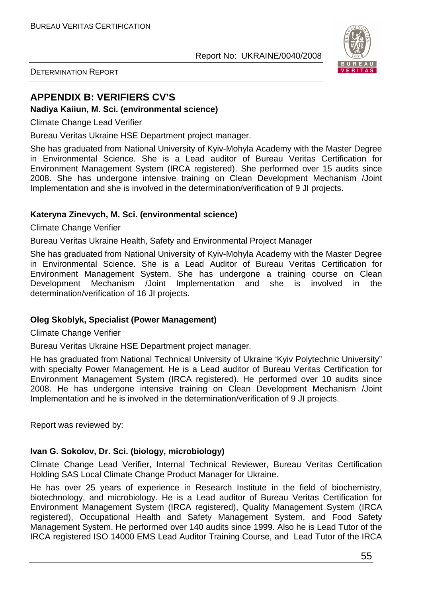

DETERMINATION REPORT

# **APPENDIX B: VERIFIERS CV'S**

#### **Nadiya Kaiiun, M. Sci. (environmental science)**

Climate Change Lead Verifier

Bureau Veritas Ukraine HSE Department project manager.

She has graduated from National University of Kyiv-Mohyla Academy with the Master Degree in Environmental Science. She is a Lead auditor of Bureau Veritas Certification for Environment Management System (IRCA registered). She performed over 15 audits since 2008. She has undergone intensive training on Clean Development Mechanism /Joint Implementation and she is involved in the determination/verification of 9 JI projects.

## **Kateryna Zinevych, M. Sci. (environmental science)**

Climate Change Verifier

Bureau Veritas Ukraine Health, Safety and Environmental Project Manager

She has graduated from National University of Kyiv-Mohyla Academy with the Master Degree in Environmental Science. She is a Lead Auditor of Bureau Veritas Certification for Environment Management System. She has undergone a training course on Clean Development Mechanism /Joint Implementation and she is involved in the determination/verification of 16 JI projects.

#### **Oleg Skoblyk, Specialist (Power Management)**

Climate Change Verifier

Bureau Veritas Ukraine HSE Department project manager.

He has graduated from National Technical University of Ukraine 'Kyiv Polytechnic University" with specialty Power Management. He is a Lead auditor of Bureau Veritas Certification for Environment Management System (IRCA registered). He performed over 10 audits since 2008. He has undergone intensive training on Clean Development Mechanism /Joint Implementation and he is involved in the determination/verification of 9 JI projects.

Report was reviewed by:

#### **Ivan G. Sokolov, Dr. Sci. (biology, microbiology)**

Climate Change Lead Verifier, Internal Technical Reviewer, Bureau Veritas Certification Holding SAS Local Climate Change Product Manager for Ukraine.

He has over 25 years of experience in Research Institute in the field of biochemistry, biotechnology, and microbiology. He is a Lead auditor of Bureau Veritas Certification for Environment Management System (IRCA registered), Quality Management System (IRCA registered), Occupational Health and Safety Management System, and Food Safety Management System. He performed over 140 audits since 1999. Also he is Lead Tutor of the IRCA registered ISO 14000 EMS Lead Auditor Training Course, and Lead Tutor of the IRCA